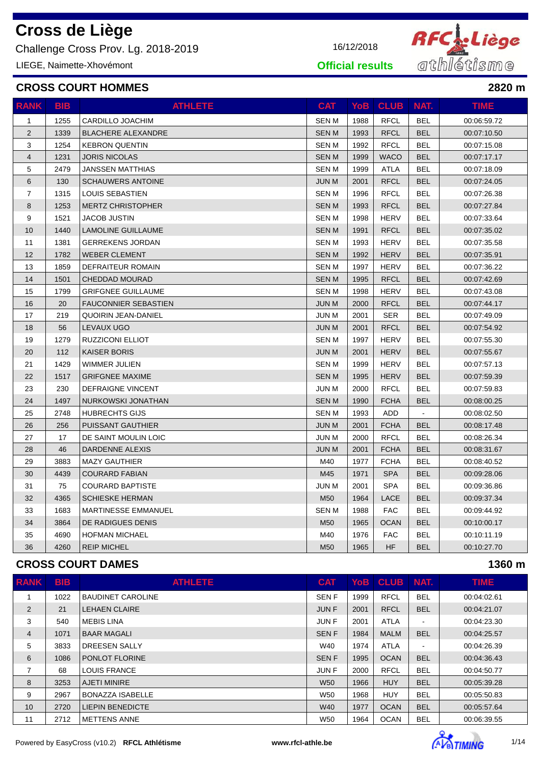Challenge Cross Prov. Lg. 2018-2019 16/12/2018

LIEGE, Naimette-Xhovémont

### **CROSS COURT HOMMES 2820 m**

| <b>RANK</b>    | <b>BIB</b> | <b>ATHLETE</b>              | <b>CAT</b>   | <b>YoB</b> | <b>CLUB</b> | NAT.           | <b>TIME</b> |
|----------------|------------|-----------------------------|--------------|------------|-------------|----------------|-------------|
| $\mathbf{1}$   | 1255       | CARDILLO JOACHIM            | <b>SEN M</b> | 1988       | <b>RFCL</b> | <b>BEL</b>     | 00:06:59.72 |
| $\overline{2}$ | 1339       | <b>BLACHERE ALEXANDRE</b>   | <b>SENM</b>  | 1993       | <b>RFCL</b> | <b>BEL</b>     | 00:07:10.50 |
| 3              | 1254       | <b>KEBRON QUENTIN</b>       | <b>SENM</b>  | 1992       | <b>RFCL</b> | <b>BEL</b>     | 00:07:15.08 |
| 4              | 1231       | <b>JORIS NICOLAS</b>        | <b>SENM</b>  | 1999       | <b>WACO</b> | <b>BEL</b>     | 00:07:17.17 |
| 5              | 2479       | <b>JANSSEN MATTHIAS</b>     | <b>SENM</b>  | 1999       | ATLA        | <b>BEL</b>     | 00:07:18.09 |
| 6              | 130        | <b>SCHAUWERS ANTOINE</b>    | <b>JUN M</b> | 2001       | <b>RFCL</b> | <b>BEL</b>     | 00:07:24.05 |
| $\overline{7}$ | 1315       | LOUIS SEBASTIEN             | <b>SENM</b>  | 1996       | <b>RFCL</b> | <b>BEL</b>     | 00:07:26.38 |
| 8              | 1253       | <b>MERTZ CHRISTOPHER</b>    | <b>SENM</b>  | 1993       | <b>RFCL</b> | <b>BEL</b>     | 00:07:27.84 |
| 9              | 1521       | <b>JACOB JUSTIN</b>         | <b>SENM</b>  | 1998       | <b>HERV</b> | <b>BEL</b>     | 00:07:33.64 |
| 10             | 1440       | LAMOLINE GUILLAUME          | <b>SENM</b>  | 1991       | <b>RFCL</b> | <b>BEL</b>     | 00:07:35.02 |
| 11             | 1381       | <b>GERREKENS JORDAN</b>     | <b>SENM</b>  | 1993       | <b>HERV</b> | <b>BEL</b>     | 00:07:35.58 |
| 12             | 1782       | <b>WEBER CLEMENT</b>        | <b>SENM</b>  | 1992       | <b>HERV</b> | <b>BEL</b>     | 00:07:35.91 |
| 13             | 1859       | DEFRAITEUR ROMAIN           | SEN M        | 1997       | HERV        | <b>BEL</b>     | 00:07:36.22 |
| 14             | 1501       | <b>CHEDDAD MOURAD</b>       | <b>SENM</b>  | 1995       | <b>RFCL</b> | <b>BEL</b>     | 00:07:42.69 |
| 15             | 1799       | <b>GRIFGNEE GUILLAUME</b>   | <b>SENM</b>  | 1998       | <b>HERV</b> | <b>BEL</b>     | 00:07:43.08 |
| 16             | 20         | <b>FAUCONNIER SEBASTIEN</b> | <b>JUN M</b> | 2000       | <b>RFCL</b> | <b>BEL</b>     | 00:07:44.17 |
| 17             | 219        | <b>QUOIRIN JEAN-DANIEL</b>  | <b>JUN M</b> | 2001       | <b>SER</b>  | <b>BEL</b>     | 00:07:49.09 |
| 18             | 56         | LEVAUX UGO                  | <b>JUN M</b> | 2001       | <b>RFCL</b> | <b>BEL</b>     | 00:07:54.92 |
| 19             | 1279       | <b>RUZZICONI ELLIOT</b>     | SEN M        | 1997       | HERV        | <b>BEL</b>     | 00:07:55.30 |
| 20             | 112        | <b>KAISER BORIS</b>         | <b>JUN M</b> | 2001       | <b>HERV</b> | <b>BEL</b>     | 00:07:55.67 |
| 21             | 1429       | WIMMER JULIEN               | <b>SENM</b>  | 1999       | <b>HERV</b> | <b>BEL</b>     | 00:07:57.13 |
| 22             | 1517       | <b>GRIFGNEE MAXIME</b>      | <b>SENM</b>  | 1995       | <b>HERV</b> | <b>BEL</b>     | 00:07:59.39 |
| 23             | 230        | DEFRAIGNE VINCENT           | <b>JUN M</b> | 2000       | <b>RFCL</b> | <b>BEL</b>     | 00:07:59.83 |
| 24             | 1497       | NURKOWSKI JONATHAN          | <b>SENM</b>  | 1990       | <b>FCHA</b> | <b>BEL</b>     | 00:08:00.25 |
| 25             | 2748       | <b>HUBRECHTS GIJS</b>       | SEN M        | 1993       | ADD         | $\blacksquare$ | 00:08:02.50 |
| 26             | 256        | <b>PUISSANT GAUTHIER</b>    | <b>JUN M</b> | 2001       | <b>FCHA</b> | <b>BEL</b>     | 00:08:17.48 |
| 27             | 17         | DE SAINT MOULIN LOIC        | <b>JUN M</b> | 2000       | <b>RFCL</b> | <b>BEL</b>     | 00:08:26.34 |
| 28             | 46         | DARDENNE ALEXIS             | <b>JUN M</b> | 2001       | <b>FCHA</b> | <b>BEL</b>     | 00:08:31.67 |
| 29             | 3883       | <b>MAZY GAUTHIER</b>        | M40          | 1977       | <b>FCHA</b> | <b>BEL</b>     | 00:08:40.52 |
| 30             | 4439       | <b>COURARD FABIAN</b>       | M45          | 1971       | <b>SPA</b>  | <b>BEL</b>     | 00:09:28.06 |
| 31             | 75         | <b>COURARD BAPTISTE</b>     | <b>JUN M</b> | 2001       | <b>SPA</b>  | BEL            | 00:09:36.86 |
| 32             | 4365       | <b>SCHIESKE HERMAN</b>      | M50          | 1964       | <b>LACE</b> | <b>BEL</b>     | 00:09:37.34 |
| 33             | 1683       | <b>MARTINESSE EMMANUEL</b>  | <b>SENM</b>  | 1988       | <b>FAC</b>  | <b>BEL</b>     | 00:09:44.92 |
| 34             | 3864       | DE RADIGUES DENIS           | M50          | 1965       | <b>OCAN</b> | <b>BEL</b>     | 00:10:00.17 |
| 35             | 4690       | <b>HOFMAN MICHAEL</b>       | M40          | 1976       | <b>FAC</b>  | BEL            | 00:10:11.19 |
| 36             | 4260       | <b>REIP MICHEL</b>          | M50          | 1965       | <b>HF</b>   | <b>BEL</b>     | 00:10:27.70 |

### **CROSS COURT DAMES 1360 m**

| <b>RANK</b>    | <b>BIB</b> | <b>ATHLETE</b>           | <b>CAT</b>  | <b>YoB</b> | <b>CLUB</b> | NAT.                     | <b>TIME</b> |
|----------------|------------|--------------------------|-------------|------------|-------------|--------------------------|-------------|
|                | 1022       | <b>BAUDINET CAROLINE</b> | <b>SENF</b> | 1999       | <b>RFCL</b> | <b>BEL</b>               | 00:04:02.61 |
| 2              | 21         | <b>LEHAEN CLAIRE</b>     | <b>JUNF</b> | 2001       | <b>RFCL</b> | <b>BEL</b>               | 00:04:21.07 |
| 3              | 540        | <b>MEBIS LINA</b>        | <b>JUNF</b> | 2001       | <b>ATLA</b> | $\overline{\phantom{a}}$ | 00:04:23.30 |
| $\overline{4}$ | 1071       | <b>BAAR MAGALI</b>       | <b>SENF</b> | 1984       | <b>MALM</b> | <b>BEL</b>               | 00:04:25.57 |
| 5              | 3833       | <b>DREESEN SALLY</b>     | W40         | 1974       | <b>ATLA</b> | $\overline{\phantom{a}}$ | 00:04:26.39 |
| 6              | 1086       | PONLOT FLORINE           | <b>SENF</b> | 1995       | <b>OCAN</b> | <b>BEL</b>               | 00:04:36.43 |
| 7              | 68         | <b>LOUIS FRANCE</b>      | <b>JUNF</b> | 2000       | <b>RFCL</b> | <b>BEL</b>               | 00:04:50.77 |
| 8              | 3253       | <b>AJETI MINIRE</b>      | <b>W50</b>  | 1966       | <b>HUY</b>  | <b>BEL</b>               | 00:05:39.28 |
| 9              | 2967       | <b>BONAZZA ISABELLE</b>  | W50         | 1968       | <b>HUY</b>  | <b>BEL</b>               | 00:05:50.83 |
| 10             | 2720       | <b>LIEPIN BENEDICTE</b>  | <b>W40</b>  | 1977       | <b>OCAN</b> | <b>BEL</b>               | 00:05:57.64 |
| 11             | 2712       | METTENS ANNE             | W50         | 1964       | <b>OCAN</b> | <b>BEL</b>               | 00:06:39.55 |





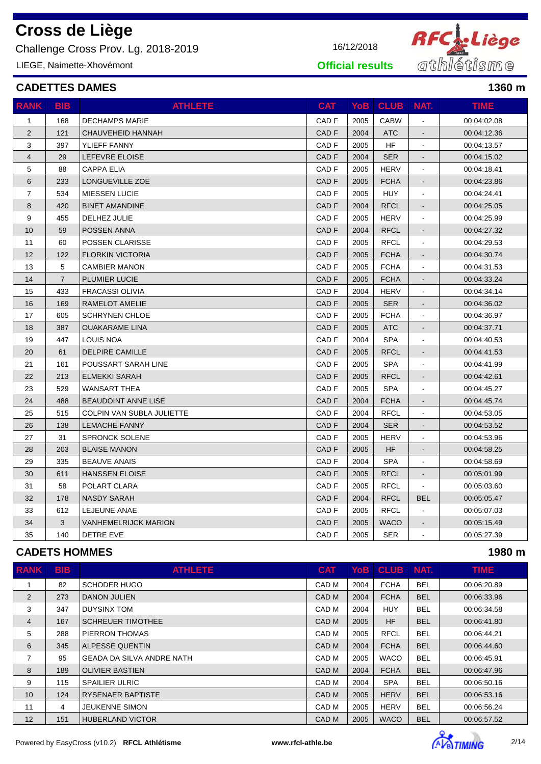Challenge Cross Prov. Lg. 2018-2019 16/12/2018

LIEGE, Naimette-Xhovémont

#### **CADETTES DAMES 1360 m**

| <b>RANK</b>    | <b>BIB</b>     | <b>ATHLETE</b>              | <b>CAT</b>       | YoB  | <b>CLUB</b> NAT. |                | <b>TIME</b> |
|----------------|----------------|-----------------------------|------------------|------|------------------|----------------|-------------|
| $\mathbf{1}$   | 168            | <b>DECHAMPS MARIE</b>       | CAD <sub>F</sub> | 2005 | <b>CABW</b>      |                | 00:04:02.08 |
| 2              | 121            | CHAUVEHEID HANNAH           | CAD <sub>F</sub> | 2004 | <b>ATC</b>       |                | 00:04:12.36 |
| 3              | 397            | YLIEFF FANNY                | CAD <sub>F</sub> | 2005 | <b>HF</b>        |                | 00:04:13.57 |
| $\overline{4}$ | 29             | LEFEVRE ELOISE              | CAD <sub>F</sub> | 2004 | <b>SER</b>       |                | 00:04:15.02 |
| 5              | 88             | <b>CAPPA ELIA</b>           | CAD <sub>F</sub> | 2005 | <b>HERV</b>      | $\blacksquare$ | 00:04:18.41 |
| 6              | 233            | LONGUEVILLE ZOE             | CAD <sub>F</sub> | 2005 | <b>FCHA</b>      | $\blacksquare$ | 00:04:23.86 |
| $\overline{7}$ | 534            | <b>MIESSEN LUCIE</b>        | CAD <sub>F</sub> | 2005 | <b>HUY</b>       | $\blacksquare$ | 00:04:24.41 |
| 8              | 420            | <b>BINET AMANDINE</b>       | CAD <sub>F</sub> | 2004 | <b>RFCL</b>      | $\sim$         | 00:04:25.05 |
| 9              | 455            | DELHEZ JULIE                | CAD <sub>F</sub> | 2005 | <b>HERV</b>      | $\blacksquare$ | 00:04:25.99 |
| 10             | 59             | POSSEN ANNA                 | CAD <sub>F</sub> | 2004 | <b>RFCL</b>      |                | 00:04:27.32 |
| 11             | 60             | <b>POSSEN CLARISSE</b>      | CAD <sub>F</sub> | 2005 | <b>RFCL</b>      | $\blacksquare$ | 00:04:29.53 |
| 12             | 122            | <b>FLORKIN VICTORIA</b>     | CAD <sub>F</sub> | 2005 | <b>FCHA</b>      | $\blacksquare$ | 00:04:30.74 |
| 13             | 5              | <b>CAMBIER MANON</b>        | CAD F            | 2005 | <b>FCHA</b>      | $\blacksquare$ | 00:04:31.53 |
| 14             | $\overline{7}$ | <b>PLUMIER LUCIE</b>        | CAD <sub>F</sub> | 2005 | <b>FCHA</b>      |                | 00:04:33.24 |
| 15             | 433            | <b>FRACASSI OLIVIA</b>      | CAD <sub>F</sub> | 2004 | <b>HERV</b>      | $\sim$         | 00:04:34.14 |
| 16             | 169            | RAMELOT AMELIE              | CAD <sub>F</sub> | 2005 | <b>SER</b>       |                | 00:04:36.02 |
| 17             | 605            | <b>SCHRYNEN CHLOE</b>       | CAD <sub>F</sub> | 2005 | <b>FCHA</b>      |                | 00:04:36.97 |
| 18             | 387            | <b>OUAKARAME LINA</b>       | CAD <sub>F</sub> | 2005 | <b>ATC</b>       |                | 00:04:37.71 |
| 19             | 447            | <b>LOUIS NOA</b>            | CAD <sub>F</sub> | 2004 | <b>SPA</b>       |                | 00:04:40.53 |
| 20             | 61             | <b>DELPIRE CAMILLE</b>      | CAD <sub>F</sub> | 2005 | <b>RFCL</b>      | $\blacksquare$ | 00:04:41.53 |
| 21             | 161            | POUSSART SARAH LINE         | CAD <sub>F</sub> | 2005 | <b>SPA</b>       | $\blacksquare$ | 00:04:41.99 |
| 22             | 213            | <b>ELMEKKI SARAH</b>        | CAD <sub>F</sub> | 2005 | <b>RFCL</b>      | $\blacksquare$ | 00:04:42.61 |
| 23             | 529            | <b>WANSART THEA</b>         | CAD <sub>F</sub> | 2005 | <b>SPA</b>       | $\blacksquare$ | 00:04:45.27 |
| 24             | 488            | <b>BEAUDOINT ANNE LISE</b>  | CAD <sub>F</sub> | 2004 | <b>FCHA</b>      | $\sim$         | 00:04:45.74 |
| 25             | 515            | COLPIN VAN SUBLA JULIETTE   | CAD <sub>F</sub> | 2004 | <b>RFCL</b>      | $\blacksquare$ | 00:04:53.05 |
| 26             | 138            | LEMACHE FANNY               | CAD <sub>F</sub> | 2004 | <b>SER</b>       |                | 00:04:53.52 |
| 27             | 31             | <b>SPRONCK SOLENE</b>       | CAD <sub>F</sub> | 2005 | <b>HERV</b>      | $\blacksquare$ | 00:04:53.96 |
| 28             | 203            | <b>BLAISE MANON</b>         | CAD <sub>F</sub> | 2005 | <b>HF</b>        |                | 00:04:58.25 |
| 29             | 335            | <b>BEAUVE ANAIS</b>         | CAD <sub>F</sub> | 2004 | <b>SPA</b>       |                | 00:04:58.69 |
| 30             | 611            | <b>HANSSEN ELOISE</b>       | CAD <sub>F</sub> | 2005 | <b>RFCL</b>      |                | 00:05:01.99 |
| 31             | 58             | POLART CLARA                | CAD <sub>F</sub> | 2005 | <b>RFCL</b>      | $\sim$         | 00:05:03.60 |
| 32             | 178            | <b>NASDY SARAH</b>          | CAD <sub>F</sub> | 2004 | <b>RFCL</b>      | <b>BEL</b>     | 00:05:05.47 |
| 33             | 612            | LEJEUNE ANAE                | CAD <sub>F</sub> | 2005 | <b>RFCL</b>      |                | 00:05:07.03 |
| 34             | 3              | <b>VANHEMELRIJCK MARION</b> | CAD <sub>F</sub> | 2005 | <b>WACO</b>      |                | 00:05:15.49 |
| 35             | 140            | DETRE EVE                   | CAD <sub>F</sub> | 2005 | <b>SER</b>       | $\blacksquare$ | 00:05:27.39 |

### **CADETS HOMMES 1980 m**

| <b>RANK</b> | <b>BIB</b> | <b>ATHLETE</b>                   | <b>CAT</b> | YoB l | <b>CLUB</b> | NAT.       | <b>TIME</b> |
|-------------|------------|----------------------------------|------------|-------|-------------|------------|-------------|
|             | 82         | <b>SCHODER HUGO</b>              | CAD M      | 2004  | <b>FCHA</b> | <b>BEL</b> | 00:06:20.89 |
| 2           | 273        | <b>DANON JULIEN</b>              | CAD M      | 2004  | <b>FCHA</b> | <b>BEL</b> | 00:06:33.96 |
| 3           | 347        | <b>DUYSINX TOM</b>               | CAD M      | 2004  | HUY         | <b>BEL</b> | 00:06:34.58 |
| 4           | 167        | <b>SCHREUER TIMOTHEE</b>         | CAD M      | 2005  | <b>HF</b>   | <b>BEL</b> | 00:06:41.80 |
| 5           | 288        | PIERRON THOMAS                   | CAD M      | 2005  | <b>RFCL</b> | <b>BEL</b> | 00:06:44.21 |
| 6           | 345        | ALPESSE QUENTIN                  | CAD M      | 2004  | <b>FCHA</b> | <b>BEL</b> | 00:06:44.60 |
| 7           | 95         | <b>GEADA DA SILVA ANDRE NATH</b> | CAD M      | 2005  | <b>WACO</b> | <b>BEL</b> | 00:06:45.91 |
| 8           | 189        | <b>OLIVIER BASTIEN</b>           | CAD M      | 2004  | <b>FCHA</b> | <b>BEL</b> | 00:06:47.96 |
| 9           | 115        | <b>SPAILIER ULRIC</b>            | CAD M      | 2004  | <b>SPA</b>  | <b>BEL</b> | 00:06:50.16 |
| 10          | 124        | <b>RYSENAER BAPTISTE</b>         | CAD M      | 2005  | <b>HERV</b> | <b>BEL</b> | 00:06:53.16 |
| 11          | 4          | <b>JEUKENNE SIMON</b>            | CAD M      | 2005  | <b>HERV</b> | <b>BEL</b> | 00:06:56.24 |
| 12          | 151        | <b>HUBERLAND VICTOR</b>          | CAD M      | 2005  | <b>WACO</b> | <b>BEL</b> | 00:06:57.52 |



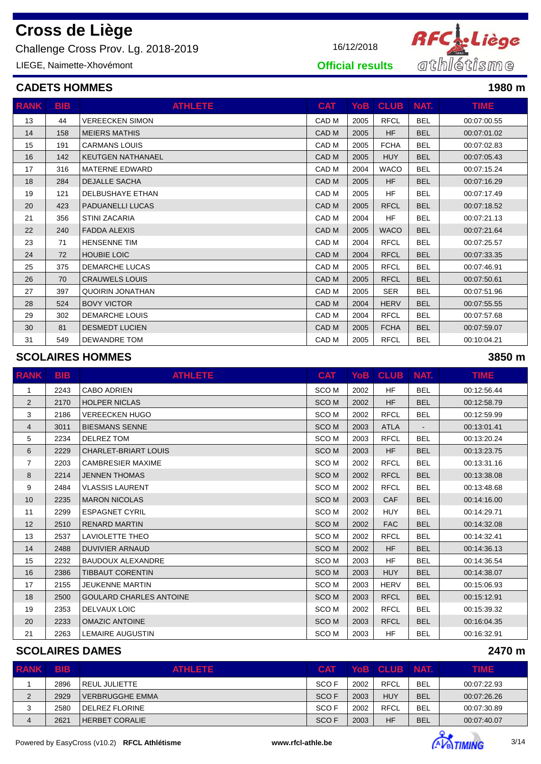Challenge Cross Prov. Lg. 2018-2019

LIEGE, Naimette-Xhovémont

| 16/12/2018 |
|------------|



**Official results**

### **CADETS HOMMES 1980 m**

| <b>RANK</b> | <b>BIB</b> | <b>ATHLETE</b>           | <b>CAT</b>       | YoB  | <b>CLUB</b> | NAT.       | TIME.       |
|-------------|------------|--------------------------|------------------|------|-------------|------------|-------------|
| 13          | 44         | <b>VEREECKEN SIMON</b>   | CAD M            | 2005 | <b>RFCL</b> | <b>BEL</b> | 00:07:00.55 |
| 14          | 158        | <b>MEIERS MATHIS</b>     | CAD M            | 2005 | <b>HF</b>   | <b>BEL</b> | 00:07:01.02 |
| 15          | 191        | <b>CARMANS LOUIS</b>     | CAD M            | 2005 | <b>FCHA</b> | <b>BEL</b> | 00:07:02.83 |
| 16          | 142        | <b>KEUTGEN NATHANAEL</b> | CAD M            | 2005 | <b>HUY</b>  | <b>BEL</b> | 00:07:05.43 |
| 17          | 316        | <b>MATERNE EDWARD</b>    | CAD M            | 2004 | <b>WACO</b> | <b>BEL</b> | 00:07:15.24 |
| 18          | 284        | <b>DEJALLE SACHA</b>     | CAD <sub>M</sub> | 2005 | <b>HF</b>   | <b>BEL</b> | 00:07:16.29 |
| 19          | 121        | DELBUSHAYE ETHAN         | CAD M            | 2005 | <b>HF</b>   | <b>BEL</b> | 00:07:17.49 |
| 20          | 423        | <b>PADUANELLI LUCAS</b>  | CAD <sub>M</sub> | 2005 | <b>RFCL</b> | <b>BEL</b> | 00:07:18.52 |
| 21          | 356        | <b>STINI ZACARIA</b>     | CAD M            | 2004 | HF          | <b>BEL</b> | 00:07:21.13 |
| 22          | 240        | <b>FADDA ALEXIS</b>      | CAD M            | 2005 | <b>WACO</b> | <b>BEL</b> | 00:07:21.64 |
| 23          | 71         | <b>HENSENNE TIM</b>      | CAD M            | 2004 | <b>RFCL</b> | <b>BEL</b> | 00:07:25.57 |
| 24          | 72         | <b>HOUBIE LOIC</b>       | CAD <sub>M</sub> | 2004 | <b>RFCL</b> | <b>BEL</b> | 00:07:33.35 |
| 25          | 375        | <b>DEMARCHE LUCAS</b>    | CAD M            | 2005 | <b>RFCL</b> | <b>BEL</b> | 00:07:46.91 |
| 26          | 70         | <b>CRAUWELS LOUIS</b>    | CAD M            | 2005 | <b>RFCL</b> | <b>BEL</b> | 00:07:50.61 |
| 27          | 397        | <b>QUOIRIN JONATHAN</b>  | CAD M            | 2005 | <b>SER</b>  | <b>BEL</b> | 00:07:51.96 |
| 28          | 524        | <b>BOVY VICTOR</b>       | CAD M            | 2004 | <b>HERV</b> | <b>BEL</b> | 00:07:55.55 |
| 29          | 302        | <b>DEMARCHE LOUIS</b>    | CAD M            | 2004 | <b>RFCL</b> | <b>BEL</b> | 00:07:57.68 |
| 30          | 81         | <b>DESMEDT LUCIEN</b>    | CAD M            | 2005 | <b>FCHA</b> | <b>BEL</b> | 00:07:59.07 |
| 31          | 549        | <b>DEWANDRE TOM</b>      | CAD M            | 2005 | <b>RFCL</b> | <b>BEL</b> | 00:10:04.21 |

### **SCOLAIRES HOMMES 3850 m**

| <b>RANK</b>     | <b>BIB</b> | <b>ATHLETE</b>                 | <b>CAT</b>       |      | YoB CLUB    | NAT.       | TIME.       |
|-----------------|------------|--------------------------------|------------------|------|-------------|------------|-------------|
| 1               | 2243       | <b>CABO ADRIEN</b>             | SCO <sub>M</sub> | 2002 | <b>HF</b>   | <b>BEL</b> | 00:12:56.44 |
| $\overline{2}$  | 2170       | <b>HOLPER NICLAS</b>           | SCO <sub>M</sub> | 2002 | <b>HF</b>   | <b>BEL</b> | 00:12:58.79 |
| 3               | 2186       | <b>VEREECKEN HUGO</b>          | SCO <sub>M</sub> | 2002 | <b>RFCL</b> | <b>BEL</b> | 00:12:59.99 |
| 4               | 3011       | <b>BIESMANS SENNE</b>          | <b>SCOM</b>      | 2003 | <b>ATLA</b> |            | 00:13:01.41 |
| 5               | 2234       | <b>DELREZ TOM</b>              | SCO <sub>M</sub> | 2003 | <b>RFCL</b> | <b>BEL</b> | 00:13:20.24 |
| 6               | 2229       | <b>CHARLET-BRIART LOUIS</b>    | <b>SCOM</b>      | 2003 | <b>HF</b>   | <b>BEL</b> | 00:13:23.75 |
| $\overline{7}$  | 2203       | <b>CAMBRESIER MAXIME</b>       | SCO M            | 2002 | <b>RFCL</b> | <b>BEL</b> | 00:13:31.16 |
| 8               | 2214       | <b>JENNEN THOMAS</b>           | <b>SCOM</b>      | 2002 | <b>RFCL</b> | <b>BEL</b> | 00:13:38.08 |
| 9               | 2484       | <b>VLASSIS LAURENT</b>         | SCO <sub>M</sub> | 2002 | <b>RFCL</b> | <b>BEL</b> | 00:13:48.68 |
| 10              | 2235       | <b>MARON NICOLAS</b>           | <b>SCOM</b>      | 2003 | <b>CAF</b>  | <b>BEL</b> | 00:14:16.00 |
| 11              | 2299       | <b>ESPAGNET CYRIL</b>          | SCO M            | 2002 | <b>HUY</b>  | <b>BEL</b> | 00:14:29.71 |
| 12 <sup>2</sup> | 2510       | <b>RENARD MARTIN</b>           | <b>SCOM</b>      | 2002 | <b>FAC</b>  | <b>BEL</b> | 00:14:32.08 |
| 13              | 2537       | <b>LAVIOLETTE THEO</b>         | SCO <sub>M</sub> | 2002 | <b>RFCL</b> | <b>BEL</b> | 00:14:32.41 |
| 14              | 2488       | <b>DUVIVIER ARNAUD</b>         | <b>SCOM</b>      | 2002 | <b>HF</b>   | <b>BEL</b> | 00:14:36.13 |
| 15              | 2232       | <b>BAUDOUX ALEXANDRE</b>       | SCO <sub>M</sub> | 2003 | <b>HF</b>   | <b>BEL</b> | 00:14:36.54 |
| 16              | 2386       | <b>TIBBAUT CORENTIN</b>        | <b>SCOM</b>      | 2003 | <b>HUY</b>  | <b>BEL</b> | 00:14:38.07 |
| 17              | 2155       | <b>JEUKENNE MARTIN</b>         | SCO <sub>M</sub> | 2003 | <b>HERV</b> | <b>BEL</b> | 00:15:06.93 |
| 18              | 2500       | <b>GOULARD CHARLES ANTOINE</b> | <b>SCOM</b>      | 2003 | <b>RFCL</b> | <b>BEL</b> | 00:15:12.91 |
| 19              | 2353       | <b>DELVAUX LOIC</b>            | SCO <sub>M</sub> | 2002 | <b>RFCL</b> | <b>BEL</b> | 00:15:39.32 |
| 20              | 2233       | <b>OMAZIC ANTOINE</b>          | SCO <sub>M</sub> | 2003 | <b>RFCL</b> | <b>BEL</b> | 00:16:04.35 |
| 21              | 2263       | <b>LEMAIRE AUGUSTIN</b>        | SCO <sub>M</sub> | 2003 | <b>HF</b>   | <b>BEL</b> | 00:16:32.91 |

#### **SCOLAIRES DAMES 2470 m**

| <b>RANK</b> | <b>TBIB</b> | <b>ATHLETE</b>       | <b>CAT</b>       |      | YoB CLUB NAT. |            | <b>TIME</b> |
|-------------|-------------|----------------------|------------------|------|---------------|------------|-------------|
|             | 2896        | <b>REUL JULIETTE</b> | SCO F            | 2002 | RFCL          | <b>BEL</b> | 00:07:22.93 |
| 2           | 2929        | l VERBRUGGHE EMMA    | SCO F            | 2003 | <b>HUY</b>    | <b>BEL</b> | 00:07:26.26 |
|             | 2580        | DELREZ FLORINE       | SCO F            | 2002 | <b>RFCL</b>   | <b>BEL</b> | 00:07:30.89 |
| 4           | 2621        | HERBET CORALIE       | SCO <sub>F</sub> | 2003 | HF            | BEL        | 00:07:40.07 |

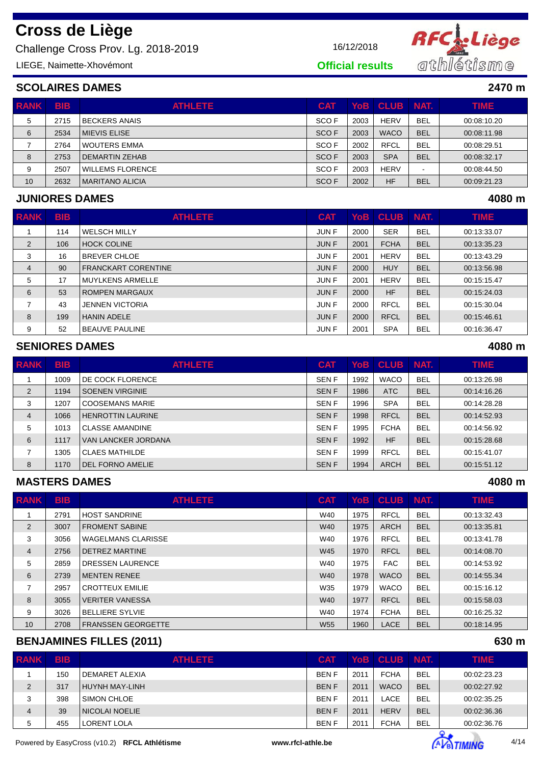Challenge Cross Prov. Lg. 2018-2019 16/12/2018

LIEGE, Naimette-Xhovémont



**Official results**

### **SCOLAIRES DAMES 2470 m**

| <b>RANK</b> | <b>BIB</b> | <b>ATHLETE</b>          | <b>CAT</b> |      | YoB  CLUB   | I NAT.                   | <b>TIME</b> |
|-------------|------------|-------------------------|------------|------|-------------|--------------------------|-------------|
| 5           | 2715       | <b>BECKERS ANAIS</b>    | SCO F      | 2003 | <b>HERV</b> | <b>BEL</b>               | 00:08:10.20 |
| 6           | 2534       | MIEVIS ELISE            | SCO F      | 2003 | <b>WACO</b> | <b>BEL</b>               | 00:08:11.98 |
|             | 2764       | <b>WOUTERS EMMA</b>     | SCO F      | 2002 | <b>RFCL</b> | <b>BEL</b>               | 00:08:29.51 |
| 8           | 2753       | DEMARTIN ZEHAB          | SCO F      | 2003 | <b>SPA</b>  | <b>BEL</b>               | 00:08:32.17 |
| 9           | 2507       | <b>WILLEMS FLORENCE</b> | SCO F      | 2003 | <b>HERV</b> | $\overline{\phantom{0}}$ | 00:08:44.50 |
| 10          | 2632       | MARITANO ALICIA         | SCO F      | 2002 | <b>HF</b>   | <b>BEL</b>               | 00:09:21.23 |

### **JUNIORES DAMES 4080 m**

| <b>RANK</b>    | <b>BIB</b> | <b>ATHLETE</b>             | <b>CAT</b> |      | YoB CLUB    | NAT.       | <b>TIME</b> |
|----------------|------------|----------------------------|------------|------|-------------|------------|-------------|
|                | 114        | <b>WELSCH MILLY</b>        | JUN F      | 2000 | <b>SER</b>  | <b>BEL</b> | 00:13:33.07 |
| 2              | 106        | <b>HOCK COLINE</b>         | JUN F      | 2001 | <b>FCHA</b> | <b>BEL</b> | 00:13:35.23 |
| 3              | 16         | <b>BREVER CHLOE</b>        | JUN F      | 2001 | <b>HERV</b> | <b>BEL</b> | 00:13:43.29 |
| $\overline{4}$ | 90         | <b>FRANCKART CORENTINE</b> | JUN F      | 2000 | <b>HUY</b>  | <b>BEL</b> | 00:13:56.98 |
| 5              | 17         | <b>MUYLKENS ARMELLE</b>    | JUN F      | 2001 | <b>HERV</b> | <b>BEL</b> | 00:15:15.47 |
| 6              | 53         | <b>ROMPEN MARGAUX</b>      | JUN F      | 2000 | <b>HF</b>   | <b>BEL</b> | 00:15:24.03 |
| 7              | 43         | <b>JENNEN VICTORIA</b>     | JUN F      | 2000 | <b>RFCL</b> | <b>BEL</b> | 00:15:30.04 |
| 8              | 199        | <b>HANIN ADELE</b>         | JUN F      | 2000 | <b>RFCL</b> | <b>BEL</b> | 00:15:46.61 |
| 9              | 52         | <b>BEAUVE PAULINE</b>      | JUN F      | 2001 | <b>SPA</b>  | <b>BEL</b> | 00:16:36.47 |

#### **SENIORES DAMES 4080 m**

| <b>RANK</b>    | <b>BIB</b> | <b>ATHLETE</b>           | <b>CAT</b>  |      | YoB CLUB    | NAT.       | <b>TIME</b> |
|----------------|------------|--------------------------|-------------|------|-------------|------------|-------------|
|                | 1009       | DE COCK FLORENCE         | <b>SENF</b> | 1992 | <b>WACO</b> | <b>BEL</b> | 00:13:26.98 |
| 2              | 1194       | <b>SOENEN VIRGINIE</b>   | <b>SENF</b> | 1986 | <b>ATC</b>  | <b>BEL</b> | 00:14:16.26 |
| 3              | 1207       | <b>COOSEMANS MARIE</b>   | <b>SENF</b> | 1996 | <b>SPA</b>  | <b>BEL</b> | 00:14:28.28 |
| $\overline{4}$ | 1066       | <b>HENROTTIN LAURINE</b> | <b>SENF</b> | 1998 | <b>RFCL</b> | <b>BEL</b> | 00:14:52.93 |
| 5              | 1013       | <b>CLASSE AMANDINE</b>   | <b>SENF</b> | 1995 | <b>FCHA</b> | <b>BEL</b> | 00:14:56.92 |
| 6              | 1117       | VAN LANCKER JORDANA      | <b>SENF</b> | 1992 | <b>HF</b>   | <b>BEL</b> | 00:15:28.68 |
|                | 1305       | <b>CLAES MATHILDE</b>    | <b>SENF</b> | 1999 | <b>RFCL</b> | <b>BEL</b> | 00:15:41.07 |
| 8              | 1170       | <b>DEL FORNO AMELIE</b>  | <b>SENF</b> | 1994 | <b>ARCH</b> | <b>BEL</b> | 00:15:51.12 |

#### **MASTERS DAMES 4080 m**

| <b>RANK</b> | <b>BIB</b> | <b>ATHLETE</b>            | <b>CAT</b> |      | YoB CLUB    | NAT.       | <b>TIME</b> |
|-------------|------------|---------------------------|------------|------|-------------|------------|-------------|
|             | 2791       | <b>HOST SANDRINE</b>      | W40        | 1975 | <b>RFCL</b> | <b>BEL</b> | 00:13:32.43 |
| 2           | 3007       | <b>FROMENT SABINE</b>     | <b>W40</b> | 1975 | <b>ARCH</b> | <b>BEL</b> | 00:13:35.81 |
| 3           | 3056       | <b>WAGELMANS CLARISSE</b> | W40        | 1976 | <b>RFCL</b> | <b>BEL</b> | 00:13:41.78 |
| 4           | 2756       | DETREZ MARTINE            | <b>W45</b> | 1970 | <b>RFCL</b> | <b>BEL</b> | 00:14:08.70 |
| 5           | 2859       | <b>DRESSEN LAURENCE</b>   | W40        | 1975 | <b>FAC</b>  | <b>BEL</b> | 00:14:53.92 |
| 6           | 2739       | MENTEN RENEE              | <b>W40</b> | 1978 | <b>WACO</b> | <b>BEL</b> | 00:14:55.34 |
| 7           | 2957       | <b>CROTTEUX EMILIE</b>    | W35        | 1979 | <b>WACO</b> | <b>BEL</b> | 00:15:16.12 |
| 8           | 3055       | <b>VERITER VANESSA</b>    | <b>W40</b> | 1977 | <b>RFCL</b> | <b>BEL</b> | 00:15:58.03 |
| 9           | 3026       | <b>BELLIERE SYLVIE</b>    | W40        | 1974 | <b>FCHA</b> | <b>BEL</b> | 00:16:25.32 |
| 10          | 2708       | <b>FRANSSEN GEORGETTE</b> | <b>W55</b> | 1960 | <b>LACE</b> | <b>BEL</b> | 00:18:14.95 |

### **BENJAMINES FILLES (2011) 630 m**

| <b>RANK</b> | <b>BIB</b> | <b>ATHLETE</b>   | <b>CAT</b>  |      | YoB CLUB NAT. |            | <b>TIME</b> |
|-------------|------------|------------------|-------------|------|---------------|------------|-------------|
|             | 150        | I DEMARET ALEXIA | <b>BENF</b> | 2011 | <b>FCHA</b>   | <b>BEL</b> | 00:02:23.23 |
| 2           | 317        | HUYNH MAY-LINH   | <b>BENF</b> | 2011 | <b>WACO</b>   | <b>BEL</b> | 00:02:27.92 |
| 3           | 398        | I SIMON CHLOE    | <b>BENF</b> | 2011 | LACE          | <b>BEL</b> | 00:02:35.25 |
| 4           | 39         | I NICOLAI NOELIE | <b>BENF</b> | 2011 | <b>HERV</b>   | <b>BEL</b> | 00:02:36.36 |
| 5           | 455        | LORENT LOLA      | <b>BENF</b> | 2011 | <b>FCHA</b>   | <b>BEL</b> | 00:02:36.76 |

Powered by EasyCross (v10.2) **RFCL Athlétisme www.rfcl-athle.be AVE TIMING** 4/14

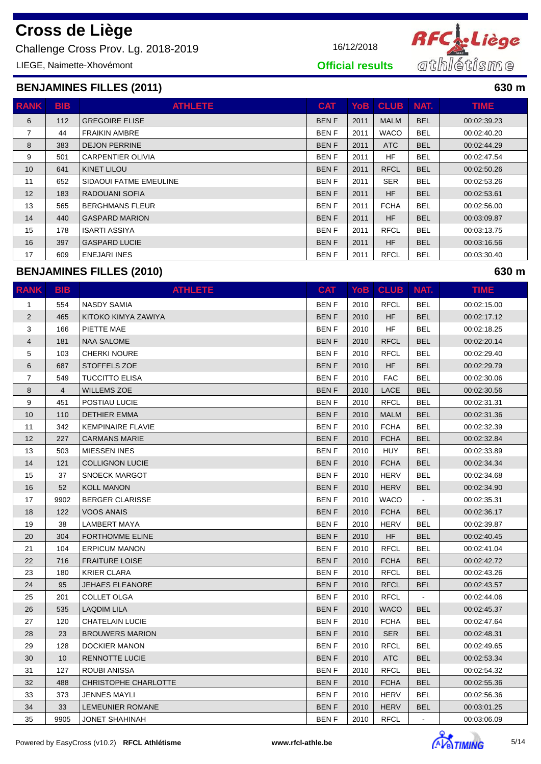Challenge Cross Prov. Lg. 2018-2019 16/12/2018

LIEGE, Naimette-Xhovémont

#### **BENJAMINES FILLES (2011) 630 m**

| <b>RANK</b> | <b>BIB</b> | <b>ATHLETE</b>           | <b>CAT</b>  | <b>YoB</b> | <b>CLUB</b> | NAT.       | <b>TIME</b> |
|-------------|------------|--------------------------|-------------|------------|-------------|------------|-------------|
| 6           | 112        | <b>GREGOIRE ELISE</b>    | <b>BENF</b> | 2011       | <b>MALM</b> | <b>BEL</b> | 00:02:39.23 |
| 7           | 44         | <b>FRAIKIN AMBRE</b>     | <b>BENF</b> | 2011       | <b>WACO</b> | <b>BEL</b> | 00:02:40.20 |
| 8           | 383        | <b>DEJON PERRINE</b>     | <b>BENF</b> | 2011       | <b>ATC</b>  | <b>BEL</b> | 00:02:44.29 |
| 9           | 501        | <b>CARPENTIER OLIVIA</b> | <b>BENF</b> | 2011       | <b>HF</b>   | <b>BEL</b> | 00:02:47.54 |
| 10          | 641        | KINET LILOU              | <b>BENF</b> | 2011       | <b>RFCL</b> | <b>BEL</b> | 00:02:50.26 |
| 11          | 652        | SIDAOUI FATME EMEULINE   | <b>BENF</b> | 2011       | <b>SER</b>  | <b>BEL</b> | 00:02:53.26 |
| 12          | 183        | RADOUANI SOFIA           | <b>BENF</b> | 2011       | HF          | <b>BEL</b> | 00:02:53.61 |
| 13          | 565        | <b>BERGHMANS FLEUR</b>   | <b>BENF</b> | 2011       | <b>FCHA</b> | <b>BEL</b> | 00:02:56.00 |
| 14          | 440        | <b>GASPARD MARION</b>    | <b>BENF</b> | 2011       | HF          | <b>BEL</b> | 00:03:09.87 |
| 15          | 178        | <b>ISARTI ASSIYA</b>     | <b>BENF</b> | 2011       | <b>RFCL</b> | <b>BEL</b> | 00:03:13.75 |
| 16          | 397        | <b>GASPARD LUCIE</b>     | <b>BENF</b> | 2011       | <b>HF</b>   | <b>BEL</b> | 00:03:16.56 |
| 17          | 609        | <b>ENEJARI INES</b>      | <b>BENF</b> | 2011       | <b>RFCL</b> | <b>BEL</b> | 00:03:30.40 |

#### **BENJAMINES FILLES (2010) 630 m**

**RANK BIB ATHLETE CAT YoB CLUB NAT. TIME** 1 554 NASDY SAMIA BEN F 2010 RFCL BEL 00:02:15.00 2 465 KITOKO KIMYA ZAWIYA BEL 00:02:17.12 3 | 166 |PIETTE MAE | BEN F | 2010 | HF | BEL | 00:02:18.25 4 181 NAA SALOME BEN F 2010 RFCL BEL 00:02:20.14 5 103 CHERKI NOURE BEN F 2010 RFCL BEL 00:02:29.40 6 687 STOFFELS ZOE BEN F 2010 HF BEL 00:02:29.79 7 549 TUCCITTO ELISA BEN F 2010 FAC BEL 00:02:30.06 8 4 WILLEMS ZOE BEN F 2010 LACE BEL 00:02:30.56 9 451 POSTIAU LUCIE BEN F 2010 RFCL BEL 00:02:31.31 10 110 DETHIER EMMA BEL 00:02:31.36 11 342 KEMPINAIRE FLAVIE BEN F 2010 FCHA BEL 00:02:32.39 12 227 CARMANS MARIE BEN F 2010 FCHA BEL 00:02:32.84 13 | 503 | MIESSEN INES | BEN F | 2010 | HUY | BEL | 00:02:33.89 14 121 COLLIGNON LUCIE BEN F 2010 FCHA BEL 00:02:34.34 15 37 SNOECK MARGOT BEN F 2010 HERV BEL 00:02:34.68 16 S2 KOLL MANON BEN F 2010 HERV BEL 00:02:34.90 17 9902 BERGER CLARISSE BEN F 2010 WACO - 00:02:35.31 18 122 VOOS ANAIS BEN F 2010 FCHA BEL 00:02:36.17 19 38 LAMBERT MAYA BEN F 2010 HERV BEL 00:02:39.87 20 304 FORTHOMME ELINE BEL 2010 HF BEL 00:02:40.45 21 | 104 | ERPICUM MANON | BEN F 2010 | RFCL | BEL | 00:02:41.04 22 716 FRAITURE LOISE BEN F 2010 FCHA BEL 00:02:42.72 23 180 KRIER CLARA BEN F 2010 RFCL BEL 00:02:43.26 24 95 JEHAES ELEANORE BEN F 2010 RFCL BEL 00:02:43.57 25 201 COLLET OLGA BEN F 2010 RFCL - 00:02:44.06 26 535 LAQDIM LILA BEN F 2010 WACO BEL 00:02:45.37 27 120 CHATELAIN LUCIE BEN F 2010 FCHA BEL 00:02:47.64 28 23 BROUWERS MARION BEN F 2010 SER BEL 00:02:48.31 29 128 DOCKIER MANON BEN F 2010 RFCL BEL 00:02:49.65 30 10 RENNOTTE LUCIE BEN F 2010 ATC BEL 00:02:53.34 31 127 ROUBI ANISSA BEN F 2010 RFCL BEL 00:02:54.32 32 488 CHRISTOPHE CHARLOTTE BEN F 2010 FCHA BEL 00:02:55.36 33 373 JENNES MAYLI BEN F 2010 HERV BEL 00:02:56.36 34 33 LEMEUNIER ROMANE BEN F 2010 HERV BEL 00:03:01.25 35 9905 JONET SHAHINAH BEN F 2010 RFCL - 00:03:06.09





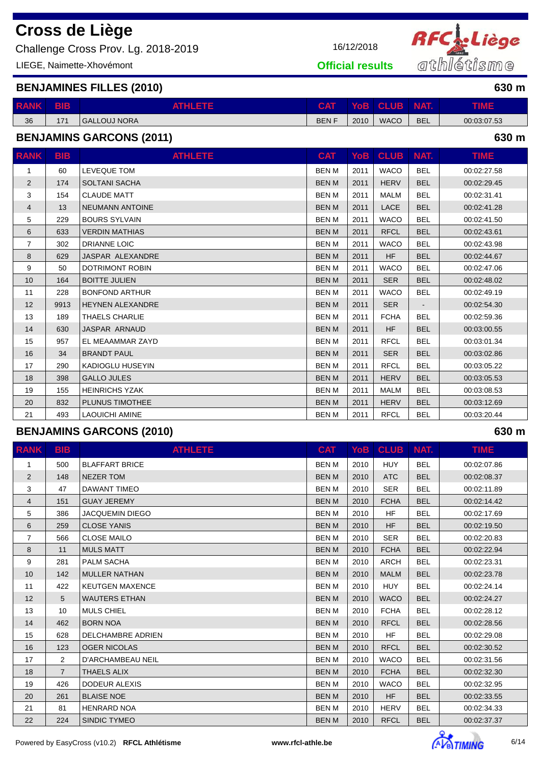Challenge Cross Prov. Lg. 2018-2019 16/12/2018

LIEGE, Naimette-Xhovémont



**Official results**

**BENJAMINES FILLES (2010) 630 m**

| <b>RANK</b> | BIB        | ATHLETIZ            | $\bigcap$ $\bigcap$<br>GAI | $/$ o $B$ | <b>CLUB</b> | NAT.       |             |
|-------------|------------|---------------------|----------------------------|-----------|-------------|------------|-------------|
| 36          | 171<br>. . | <b>GALLOUJ NORA</b> | <b>BENF</b>                | 2010      | <b>WACO</b> | <b>BEL</b> | 00:03:07.53 |

### **BENJAMINS GARCONS (2011) 630 m**

| <b>RANK</b>    | <b>BIB</b> | <b>ATHLETE</b>          | <b>CAT</b>   | <b>YoB</b> | <b>CLUB</b> | NAT.       | TIME.       |
|----------------|------------|-------------------------|--------------|------------|-------------|------------|-------------|
| $\mathbf{1}$   | 60         | <b>LEVEQUE TOM</b>      | <b>BENM</b>  | 2011       | <b>WACO</b> | <b>BEL</b> | 00:02:27.58 |
| 2              | 174        | <b>SOLTANI SACHA</b>    | <b>BENM</b>  | 2011       | <b>HERV</b> | <b>BEL</b> | 00:02:29.45 |
| 3              | 154        | <b>CLAUDE MATT</b>      | <b>BENM</b>  | 2011       | <b>MALM</b> | <b>BEL</b> | 00:02:31.41 |
| 4              | 13         | <b>NEUMANN ANTOINE</b>  | <b>BENM</b>  | 2011       | <b>LACE</b> | <b>BEL</b> | 00:02:41.28 |
| 5              | 229        | <b>BOURS SYLVAIN</b>    | <b>BENM</b>  | 2011       | <b>WACO</b> | <b>BEL</b> | 00:02:41.50 |
| 6              | 633        | <b>VERDIN MATHIAS</b>   | <b>BENM</b>  | 2011       | <b>RFCL</b> | <b>BEL</b> | 00:02:43.61 |
| $\overline{7}$ | 302        | <b>DRIANNE LOIC</b>     | <b>BENM</b>  | 2011       | <b>WACO</b> | <b>BEL</b> | 00:02:43.98 |
| 8              | 629        | JASPAR ALEXANDRE        | <b>BENM</b>  | 2011       | <b>HF</b>   | <b>BEL</b> | 00:02:44.67 |
| 9              | 50         | DOTRIMONT ROBIN         | <b>BENM</b>  | 2011       | <b>WACO</b> | <b>BEL</b> | 00:02:47.06 |
| 10             | 164        | <b>BOITTE JULIEN</b>    | <b>BENM</b>  | 2011       | <b>SER</b>  | <b>BEL</b> | 00:02:48.02 |
| 11             | 228        | <b>BONFOND ARTHUR</b>   | <b>BENM</b>  | 2011       | <b>WACO</b> | <b>BEL</b> | 00:02:49.19 |
| 12             | 9913       | <b>HEYNEN ALEXANDRE</b> | <b>BENM</b>  | 2011       | <b>SER</b>  |            | 00:02:54.30 |
| 13             | 189        | <b>THAELS CHARLIE</b>   | <b>BENM</b>  | 2011       | <b>FCHA</b> | <b>BEL</b> | 00:02:59.36 |
| 14             | 630        | <b>JASPAR ARNAUD</b>    | <b>BENM</b>  | 2011       | <b>HF</b>   | <b>BEL</b> | 00:03:00.55 |
| 15             | 957        | EL MEAAMMAR ZAYD        | <b>BENM</b>  | 2011       | <b>RFCL</b> | <b>BEL</b> | 00:03:01.34 |
| 16             | 34         | <b>BRANDT PAUL</b>      | <b>BENM</b>  | 2011       | <b>SER</b>  | <b>BEL</b> | 00:03:02.86 |
| 17             | 290        | KADIOGLU HUSEYIN        | <b>BEN M</b> | 2011       | <b>RFCL</b> | <b>BEL</b> | 00:03:05.22 |
| 18             | 398        | <b>GALLO JULES</b>      | <b>BENM</b>  | 2011       | <b>HERV</b> | <b>BEL</b> | 00:03:05.53 |
| 19             | 155        | <b>HEINRICHS YZAK</b>   | <b>BENM</b>  | 2011       | <b>MALM</b> | <b>BEL</b> | 00:03:08.53 |
| 20             | 832        | PLUNUS TIMOTHEE         | <b>BENM</b>  | 2011       | <b>HERV</b> | <b>BEL</b> | 00:03:12.69 |
| 21             | 493        | LAOUICHI AMINE          | <b>BENM</b>  | 2011       | <b>RFCL</b> | <b>BEL</b> | 00:03:20.44 |

#### **BENJAMINS GARCONS (2010) 630 m**

| <b>RANK</b>    | <b>BIB</b>     | <b>ATHLETE</b>           | <b>CAT</b>   | YoB  | <b>CLUB</b> | NAT.       | TIME.       |
|----------------|----------------|--------------------------|--------------|------|-------------|------------|-------------|
| $\mathbf{1}$   | 500            | <b>BLAFFART BRICE</b>    | <b>BENM</b>  | 2010 | <b>HUY</b>  | <b>BEL</b> | 00:02:07.86 |
| $\overline{2}$ | 148            | <b>NEZER TOM</b>         | <b>BENM</b>  | 2010 | <b>ATC</b>  | <b>BEL</b> | 00:02:08.37 |
| 3              | 47             | <b>DAWANT TIMEO</b>      | <b>BENM</b>  | 2010 | <b>SER</b>  | <b>BEL</b> | 00:02:11.89 |
| 4              | 151            | <b>GUAY JEREMY</b>       | <b>BENM</b>  | 2010 | <b>FCHA</b> | <b>BEL</b> | 00:02:14.42 |
| 5              | 386            | <b>JACQUEMIN DIEGO</b>   | <b>BENM</b>  | 2010 | <b>HF</b>   | <b>BEL</b> | 00:02:17.69 |
| 6              | 259            | <b>CLOSE YANIS</b>       | <b>BENM</b>  | 2010 | <b>HF</b>   | <b>BEL</b> | 00:02:19.50 |
| $\overline{7}$ | 566            | <b>CLOSE MAILO</b>       | <b>BEN M</b> | 2010 | <b>SER</b>  | <b>BEL</b> | 00:02:20.83 |
| 8              | 11             | <b>MULS MATT</b>         | <b>BENM</b>  | 2010 | <b>FCHA</b> | <b>BEL</b> | 00:02:22.94 |
| 9              | 281            | <b>PALM SACHA</b>        | <b>BENM</b>  | 2010 | <b>ARCH</b> | <b>BEL</b> | 00:02:23.31 |
| 10             | 142            | <b>MULLER NATHAN</b>     | <b>BENM</b>  | 2010 | <b>MALM</b> | <b>BEL</b> | 00:02:23.78 |
| 11             | 422            | <b>KEUTGEN MAXENCE</b>   | <b>BENM</b>  | 2010 | <b>HUY</b>  | <b>BEL</b> | 00:02:24.14 |
| 12             | 5              | <b>WAUTERS ETHAN</b>     | <b>BENM</b>  | 2010 | <b>WACO</b> | <b>BEL</b> | 00:02:24.27 |
| 13             | 10             | <b>MULS CHIEL</b>        | <b>BEN M</b> | 2010 | <b>FCHA</b> | <b>BEL</b> | 00:02:28.12 |
| 14             | 462            | <b>BORN NOA</b>          | <b>BENM</b>  | 2010 | <b>RFCL</b> | <b>BEL</b> | 00:02:28.56 |
| 15             | 628            | <b>DELCHAMBRE ADRIEN</b> | <b>BEN M</b> | 2010 | <b>HF</b>   | <b>BEL</b> | 00:02:29.08 |
| 16             | 123            | <b>OGER NICOLAS</b>      | <b>BENM</b>  | 2010 | <b>RFCL</b> | <b>BEL</b> | 00:02:30.52 |
| 17             | $\overline{2}$ | D'ARCHAMBEAU NEIL        | <b>BENM</b>  | 2010 | <b>WACO</b> | <b>BEL</b> | 00:02:31.56 |
| 18             | $\overline{7}$ | <b>THAELS ALIX</b>       | <b>BENM</b>  | 2010 | <b>FCHA</b> | <b>BEL</b> | 00:02:32.30 |
| 19             | 426            | <b>DODEUR ALEXIS</b>     | <b>BEN M</b> | 2010 | <b>WACO</b> | <b>BEL</b> | 00:02:32.95 |
| 20             | 261            | <b>BLAISE NOE</b>        | <b>BENM</b>  | 2010 | <b>HF</b>   | <b>BEL</b> | 00:02:33.55 |
| 21             | 81             | <b>HENRARD NOA</b>       | <b>BENM</b>  | 2010 | <b>HERV</b> | <b>BEL</b> | 00:02:34.33 |
| 22             | 224            | SINDIC TYMEO             | <b>BENM</b>  | 2010 | <b>RFCL</b> | <b>BEL</b> | 00:02:37.37 |

Powered by EasyCross (v10.2) **RFCL Athlétisme www.rfcl-athle.be by EasyCross (v10.2) RFCL Athlétisme 6/14** 

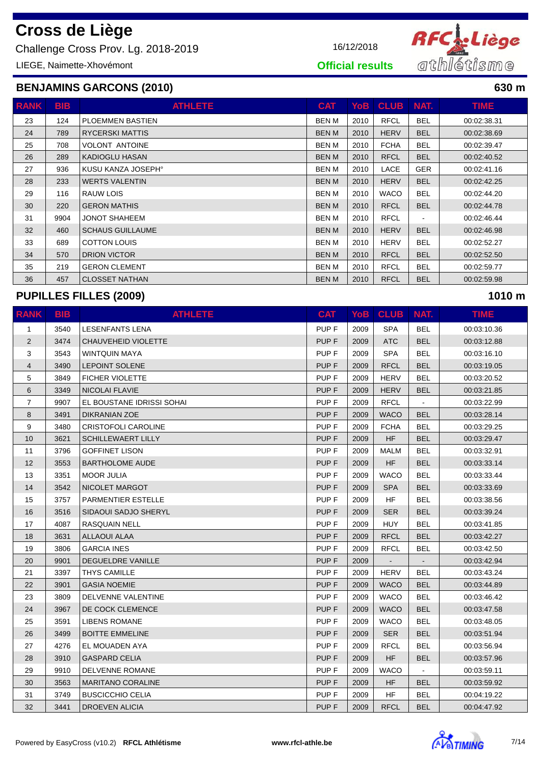Challenge Cross Prov. Lg. 2018-2019 16/12/2018

LIEGE, Naimette-Xhovémont



**Official results**

### **BENJAMINS GARCONS (2010) 630 m**

| <b>RANK</b> | <b>BIB</b> | <b>ATHLETE</b>          | <b>CAT</b>   | YoB  | <b>CLUB</b> | NAT.           | TIME.       |
|-------------|------------|-------------------------|--------------|------|-------------|----------------|-------------|
| 23          | 124        | <b>PLOEMMEN BASTIEN</b> | <b>BEN M</b> | 2010 | <b>RFCL</b> | <b>BEL</b>     | 00:02:38.31 |
| 24          | 789        | <b>RYCERSKI MATTIS</b>  | <b>BEN M</b> | 2010 | <b>HERV</b> | <b>BEL</b>     | 00:02:38.69 |
| 25          | 708        | <b>VOLONT ANTOINE</b>   | <b>BENM</b>  | 2010 | <b>FCHA</b> | <b>BEL</b>     | 00:02:39.47 |
| 26          | 289        | KADIOGLU HASAN          | <b>BEN M</b> | 2010 | <b>RFCL</b> | <b>BEL</b>     | 00:02:40.52 |
| 27          | 936        | KUSU KANZA JOSEPH°      | BEN M        | 2010 | LACE        | <b>GER</b>     | 00:02:41.16 |
| 28          | 233        | <b>WERTS VALENTIN</b>   | <b>BEN M</b> | 2010 | <b>HERV</b> | <b>BEL</b>     | 00:02:42.25 |
| 29          | 116        | RAUW LOIS               | BEN M        | 2010 | <b>WACO</b> | <b>BEL</b>     | 00:02:44.20 |
| 30          | 220        | <b>GERON MATHIS</b>     | <b>BEN M</b> | 2010 | <b>RFCL</b> | <b>BEL</b>     | 00:02:44.78 |
| 31          | 9904       | <b>JONOT SHAHEEM</b>    | BEN M        | 2010 | <b>RFCL</b> | $\blacksquare$ | 00:02:46.44 |
| 32          | 460        | <b>SCHAUS GUILLAUME</b> | <b>BEN M</b> | 2010 | <b>HERV</b> | <b>BEL</b>     | 00:02:46.98 |
| 33          | 689        | <b>COTTON LOUIS</b>     | <b>BENM</b>  | 2010 | <b>HERV</b> | <b>BEL</b>     | 00:02:52.27 |
| 34          | 570        | <b>DRION VICTOR</b>     | <b>BEN M</b> | 2010 | <b>RFCL</b> | <b>BEL</b>     | 00:02:52.50 |
| 35          | 219        | <b>GERON CLEMENT</b>    | BEN M        | 2010 | <b>RFCL</b> | <b>BEL</b>     | 00:02:59.77 |
| 36          | 457        | <b>CLOSSET NATHAN</b>   | <b>BEN M</b> | 2010 | <b>RFCL</b> | <b>BEL</b>     | 00:02:59.98 |

### **PUPILLES FILLES (2009) 1010 m**

| <b>RANK</b>    | <b>BIB</b> | <b>ATHLETE</b>             | <b>CAT</b>       | YoB  | <b>CLUB</b> | NAT.       | <b>TIME</b> |
|----------------|------------|----------------------------|------------------|------|-------------|------------|-------------|
| $\mathbf{1}$   | 3540       | <b>LESENFANTS LENA</b>     | PUP <sub>F</sub> | 2009 | <b>SPA</b>  | <b>BEL</b> | 00:03:10.36 |
| $\overline{2}$ | 3474       | CHAUVEHEID VIOLETTE        | PUP <sub>F</sub> | 2009 | <b>ATC</b>  | <b>BEL</b> | 00:03:12.88 |
| 3              | 3543       | <b>WINTQUIN MAYA</b>       | PUP <sub>F</sub> | 2009 | <b>SPA</b>  | <b>BEL</b> | 00:03:16.10 |
| $\overline{4}$ | 3490       | <b>LEPOINT SOLENE</b>      | PUP <sub>F</sub> | 2009 | <b>RFCL</b> | <b>BEL</b> | 00:03:19.05 |
| 5              | 3849       | <b>FICHER VIOLETTE</b>     | PUP <sub>F</sub> | 2009 | <b>HERV</b> | <b>BEL</b> | 00:03:20.52 |
| 6              | 3349       | NICOLAI FLAVIE             | PUP <sub>F</sub> | 2009 | <b>HERV</b> | <b>BEL</b> | 00:03:21.85 |
| $\overline{7}$ | 9907       | EL BOUSTANE IDRISSI SOHAI  | PUP <sub>F</sub> | 2009 | <b>RFCL</b> |            | 00:03:22.99 |
| 8              | 3491       | <b>DIKRANIAN ZOE</b>       | PUP <sub>F</sub> | 2009 | <b>WACO</b> | <b>BEL</b> | 00:03:28.14 |
| 9              | 3480       | <b>CRISTOFOLI CAROLINE</b> | PUP <sub>F</sub> | 2009 | <b>FCHA</b> | <b>BEL</b> | 00:03:29.25 |
| 10             | 3621       | <b>SCHILLEWAERT LILLY</b>  | PUP <sub>F</sub> | 2009 | <b>HF</b>   | <b>BEL</b> | 00:03:29.47 |
| 11             | 3796       | <b>GOFFINET LISON</b>      | PUP <sub>F</sub> | 2009 | <b>MALM</b> | <b>BEL</b> | 00:03:32.91 |
| 12             | 3553       | <b>BARTHOLOME AUDE</b>     | PUP <sub>F</sub> | 2009 | <b>HF</b>   | <b>BEL</b> | 00:03:33.14 |
| 13             | 3351       | <b>MOOR JULIA</b>          | PUP <sub>F</sub> | 2009 | <b>WACO</b> | <b>BEL</b> | 00:03:33.44 |
| 14             | 3542       | NICOLET MARGOT             | PUP <sub>F</sub> | 2009 | <b>SPA</b>  | <b>BEL</b> | 00:03:33.69 |
| 15             | 3757       | <b>PARMENTIER ESTELLE</b>  | PUP <sub>F</sub> | 2009 | <b>HF</b>   | <b>BEL</b> | 00:03:38.56 |
| 16             | 3516       | SIDAOUI SADJO SHERYL       | PUP <sub>F</sub> | 2009 | <b>SER</b>  | <b>BEL</b> | 00:03:39.24 |
| 17             | 4087       | <b>RASQUAIN NELL</b>       | PUP <sub>F</sub> | 2009 | <b>HUY</b>  | <b>BEL</b> | 00:03:41.85 |
| 18             | 3631       | <b>ALLAOUI ALAA</b>        | PUP <sub>F</sub> | 2009 | <b>RFCL</b> | <b>BEL</b> | 00:03:42.27 |
| 19             | 3806       | <b>GARCIA INES</b>         | PUP <sub>F</sub> | 2009 | <b>RFCL</b> | <b>BEL</b> | 00:03:42.50 |
| 20             | 9901       | <b>DEGUELDRE VANILLE</b>   | PUP <sub>F</sub> | 2009 | $\sim$      | $\sim$     | 00:03:42.94 |
| 21             | 3397       | <b>THYS CAMILLE</b>        | PUP <sub>F</sub> | 2009 | <b>HERV</b> | <b>BEL</b> | 00:03:43.24 |
| 22             | 3901       | <b>GASIA NOEMIE</b>        | PUP <sub>F</sub> | 2009 | <b>WACO</b> | <b>BEL</b> | 00:03:44.89 |
| 23             | 3809       | DELVENNE VALENTINE         | PUP <sub>F</sub> | 2009 | <b>WACO</b> | <b>BEL</b> | 00:03:46.42 |
| 24             | 3967       | DE COCK CLEMENCE           | PUP <sub>F</sub> | 2009 | <b>WACO</b> | <b>BEL</b> | 00:03:47.58 |
| 25             | 3591       | <b>LIBENS ROMANE</b>       | PUP <sub>F</sub> | 2009 | <b>WACO</b> | <b>BEL</b> | 00:03:48.05 |
| 26             | 3499       | <b>BOITTE EMMELINE</b>     | PUP <sub>F</sub> | 2009 | <b>SER</b>  | <b>BEL</b> | 00:03:51.94 |
| 27             | 4276       | EL MOUADEN AYA             | PUP <sub>F</sub> | 2009 | <b>RFCL</b> | <b>BEL</b> | 00:03:56.94 |
| 28             | 3910       | <b>GASPARD CELIA</b>       | PUP <sub>F</sub> | 2009 | <b>HF</b>   | <b>BEL</b> | 00:03:57.96 |
| 29             | 9910       | <b>DELVENNE ROMANE</b>     | PUP <sub>F</sub> | 2009 | <b>WACO</b> |            | 00:03:59.11 |
| 30             | 3563       | <b>MARITANO CORALINE</b>   | PUP <sub>F</sub> | 2009 | HF          | <b>BEL</b> | 00:03:59.92 |
| 31             | 3749       | <b>BUSCICCHIO CELIA</b>    | PUP <sub>F</sub> | 2009 | HF          | <b>BEL</b> | 00:04:19.22 |
| 32             | 3441       | <b>DROEVEN ALICIA</b>      | PUP <sub>F</sub> | 2009 | <b>RFCL</b> | <b>BEL</b> | 00:04:47.92 |

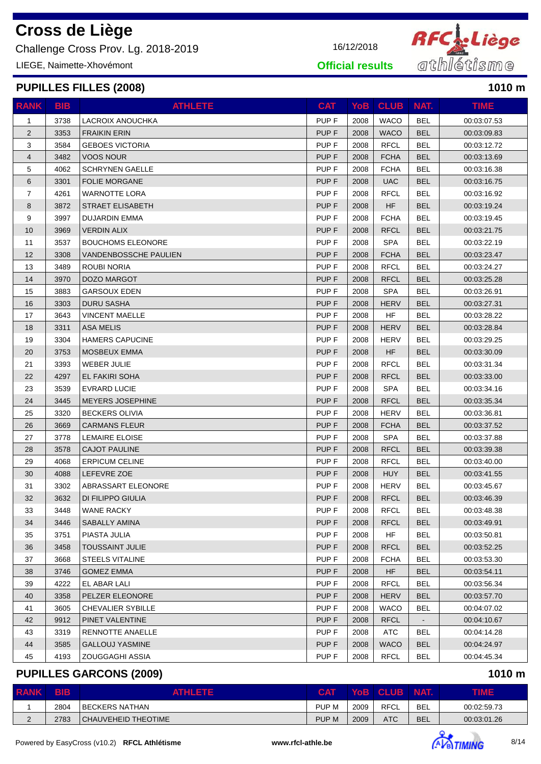Challenge Cross Prov. Lg. 2018-2019 16/12/2018

LIEGE, Naimette-Xhovémont

### **PUPILLES FILLES (2008) 1010 m**

| <b>RANK</b>    | <b>BIB</b> | <b>ATHLETE</b>           | <b>CAT</b>       |      | YoB CLUB NAT. |            | <b>TIME</b> |
|----------------|------------|--------------------------|------------------|------|---------------|------------|-------------|
| 1              | 3738       | LACROIX ANOUCHKA         | PUP <sub>F</sub> | 2008 | <b>WACO</b>   | <b>BEL</b> | 00:03:07.53 |
| $\overline{2}$ | 3353       | <b>FRAIKIN ERIN</b>      | PUP <sub>F</sub> | 2008 | <b>WACO</b>   | <b>BEL</b> | 00:03:09.83 |
| 3              | 3584       | <b>GEBOES VICTORIA</b>   | PUP <sub>F</sub> | 2008 | <b>RFCL</b>   | <b>BEL</b> | 00:03:12.72 |
| 4              | 3482       | <b>VOOS NOUR</b>         | PUP <sub>F</sub> | 2008 | <b>FCHA</b>   | <b>BEL</b> | 00:03:13.69 |
| 5              | 4062       | <b>SCHRYNEN GAELLE</b>   | PUP <sub>F</sub> | 2008 | <b>FCHA</b>   | <b>BEL</b> | 00:03:16.38 |
| 6              | 3301       | FOLIE MORGANE            | PUP <sub>F</sub> | 2008 | <b>UAC</b>    | <b>BEL</b> | 00:03:16.75 |
| $\overline{7}$ | 4261       | WARNOTTE LORA            | PUP <sub>F</sub> | 2008 | <b>RFCL</b>   | <b>BEL</b> | 00:03:16.92 |
| 8              | 3872       | <b>STRAET ELISABETH</b>  | PUP <sub>F</sub> | 2008 | <b>HF</b>     | <b>BEL</b> | 00:03:19.24 |
| 9              | 3997       | <b>DUJARDIN EMMA</b>     | PUP <sub>F</sub> | 2008 | <b>FCHA</b>   | <b>BEL</b> | 00:03:19.45 |
| 10             | 3969       | <b>VERDIN ALIX</b>       | PUP <sub>F</sub> | 2008 | <b>RFCL</b>   | <b>BEL</b> | 00:03:21.75 |
| 11             | 3537       | <b>BOUCHOMS ELEONORE</b> | PUP <sub>F</sub> | 2008 | <b>SPA</b>    | <b>BEL</b> | 00:03:22.19 |
| 12             | 3308       | VANDENBOSSCHE PAULIEN    | PUP <sub>F</sub> | 2008 | <b>FCHA</b>   | <b>BEL</b> | 00:03:23.47 |
| 13             | 3489       | ROUBI NORIA              | PUP <sub>F</sub> | 2008 | <b>RFCL</b>   | <b>BEL</b> | 00:03:24.27 |
| 14             | 3970       | DOZO MARGOT              | PUP <sub>F</sub> | 2008 | <b>RFCL</b>   | <b>BEL</b> | 00:03:25.28 |
| 15             | 3883       | <b>GARSOUX EDEN</b>      | PUP <sub>F</sub> | 2008 | <b>SPA</b>    | <b>BEL</b> | 00:03:26.91 |
| 16             | 3303       | <b>DURU SASHA</b>        | PUP <sub>F</sub> | 2008 | <b>HERV</b>   | <b>BEL</b> | 00:03:27.31 |
| 17             | 3643       | <b>VINCENT MAELLE</b>    | PUP <sub>F</sub> | 2008 | <b>HF</b>     | <b>BEL</b> | 00:03:28.22 |
| 18             | 3311       | <b>ASA MELIS</b>         | PUP <sub>F</sub> | 2008 | <b>HERV</b>   | <b>BEL</b> | 00:03:28.84 |
| 19             | 3304       | <b>HAMERS CAPUCINE</b>   | PUP <sub>F</sub> | 2008 | <b>HERV</b>   | <b>BEL</b> | 00:03:29.25 |
| 20             | 3753       | MOSBEUX EMMA             | PUP <sub>F</sub> | 2008 | <b>HF</b>     | <b>BEL</b> | 00:03:30.09 |
| 21             | 3393       | WEBER JULIE              | PUP <sub>F</sub> | 2008 | <b>RFCL</b>   | <b>BEL</b> | 00:03:31.34 |
| 22             | 4297       | EL FAKIRI SOHA           | PUP <sub>F</sub> | 2008 | <b>RFCL</b>   | <b>BEL</b> | 00:03:33.00 |
| 23             | 3539       | <b>EVRARD LUCIE</b>      | PUP <sub>F</sub> | 2008 | <b>SPA</b>    | <b>BEL</b> | 00:03:34.16 |
| 24             | 3445       | <b>MEYERS JOSEPHINE</b>  | PUP <sub>F</sub> | 2008 | <b>RFCL</b>   | <b>BEL</b> | 00:03:35.34 |
| 25             | 3320       | <b>BECKERS OLIVIA</b>    | PUP <sub>F</sub> | 2008 | <b>HERV</b>   | <b>BEL</b> | 00:03:36.81 |
| 26             | 3669       | <b>CARMANS FLEUR</b>     | PUP <sub>F</sub> | 2008 | <b>FCHA</b>   | <b>BEL</b> | 00:03:37.52 |
| 27             | 3778       | <b>LEMAIRE ELOISE</b>    | PUP <sub>F</sub> | 2008 | <b>SPA</b>    | <b>BEL</b> | 00:03:37.88 |
| 28             | 3578       | <b>CAJOT PAULINE</b>     | PUP <sub>F</sub> | 2008 | <b>RFCL</b>   | <b>BEL</b> | 00:03:39.38 |
| 29             | 4068       | <b>ERPICUM CELINE</b>    | PUP F            | 2008 | <b>RFCL</b>   | <b>BEL</b> | 00:03:40.00 |
| 30             | 4088       | LEFEVRE ZOE              | PUP F            | 2008 | <b>HUY</b>    | <b>BEL</b> | 00:03:41.55 |
| 31             | 3302       | ABRASSART ELEONORE       | PUP <sub>F</sub> | 2008 | <b>HERV</b>   | <b>BEL</b> | 00:03:45.67 |
| 32             | 3632       | DI FILIPPO GIULIA        | PUP <sub>F</sub> | 2008 | <b>RFCL</b>   | <b>BEL</b> | 00:03:46.39 |
| 33             | 3448       | <b>WANE RACKY</b>        | PUP F            | 2008 | <b>RFCL</b>   | <b>BEL</b> | 00:03:48.38 |
| 34             | 3446       | SABALLY AMINA            | PUP F            | 2008 | <b>RFCL</b>   | <b>BEL</b> | 00:03:49.91 |
| 35             | 3751       | PIASTA JULIA             | PUP <sub>F</sub> | 2008 | HF            | <b>BEL</b> | 00:03:50.81 |
| 36             | 3458       | <b>TOUSSAINT JULIE</b>   | PUP <sub>F</sub> | 2008 | <b>RFCL</b>   | <b>BEL</b> | 00:03:52.25 |
| 37             | 3668       | STEELS VITALINE          | PUP F            | 2008 | <b>FCHA</b>   | <b>BEL</b> | 00:03:53.30 |
| 38             | 3746       | <b>GOMEZ EMMA</b>        | PUP <sub>F</sub> | 2008 | HF            | <b>BEL</b> | 00:03:54.11 |
| 39             | 4222       | EL ABAR LALI             | PUP <sub>F</sub> | 2008 | <b>RFCL</b>   | <b>BEL</b> | 00:03:56.34 |
| 40             | 3358       | PELZER ELEONORE          | PUP <sub>F</sub> | 2008 | <b>HERV</b>   | <b>BEL</b> | 00:03:57.70 |
| 41             | 3605       | <b>CHEVALIER SYBILLE</b> | PUP F            | 2008 | <b>WACO</b>   | <b>BEL</b> | 00:04:07.02 |
| 42             | 9912       | PINET VALENTINE          | PUP F            | 2008 | <b>RFCL</b>   |            | 00:04:10.67 |
| 43             | 3319       | RENNOTTE ANAELLE         | PUP F            | 2008 | <b>ATC</b>    | BEL        | 00:04:14.28 |
| 44             | 3585       | <b>GALLOUJ YASMINE</b>   | PUP <sub>F</sub> | 2008 | <b>WACO</b>   | <b>BEL</b> | 00:04:24.97 |
| 45             | 4193       | ZOUGGAGHI ASSIA          | PUP <sub>F</sub> | 2008 | <b>RFCL</b>   | <b>BEL</b> | 00:04:45.34 |

### **PUPILLES GARCONS (2009) 1010 m**

| <b>RANK</b> | 'BIB | ATHLETE             | <b>CAT</b> |      | YOB CLUB    | <b>NAT.</b> | <b>TIME</b> |
|-------------|------|---------------------|------------|------|-------------|-------------|-------------|
|             | 2804 | BECKERS NATHAN      | PUP M      | 2009 | <b>RFCL</b> | <b>BEL</b>  | 00:02:59.73 |
|             | 2783 | CHAUVEHEID THEOTIME | PUP M      | 2009 | <b>ATC</b>  | <b>BEL</b>  | 00:03:01.26 |



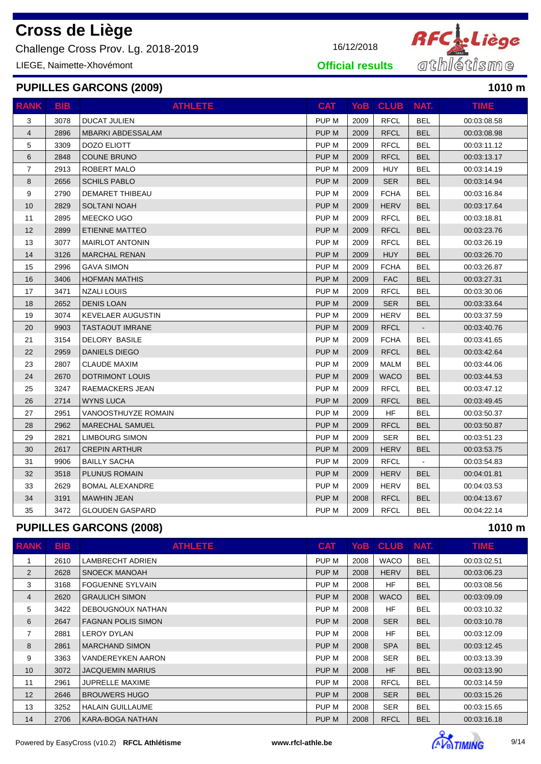Challenge Cross Prov. Lg. 2018-2019 16/12/2018

LIEGE, Naimette-Xhovémont

#### **PUPILLES GARCONS (2009) 1010 m**

| <b>RANK</b>    | <b>BIB</b> | <b>ATHLETE</b>           | <b>CAT</b>       | <b>YoB</b> | <b>CLUB</b> | NAT.       | <b>TIME</b> |
|----------------|------------|--------------------------|------------------|------------|-------------|------------|-------------|
| 3              | 3078       | <b>DUCAT JULIEN</b>      | PUP <sub>M</sub> | 2009       | <b>RFCL</b> | <b>BEL</b> | 00:03:08.58 |
| $\overline{4}$ | 2896       | <b>MBARKI ABDESSALAM</b> | PUP M            | 2009       | <b>RFCL</b> | <b>BEL</b> | 00:03:08.98 |
| 5              | 3309       | <b>DOZO ELIOTT</b>       | PUP M            | 2009       | <b>RFCL</b> | <b>BEL</b> | 00:03:11.12 |
| 6              | 2848       | <b>COUNE BRUNO</b>       | PUP M            | 2009       | <b>RFCL</b> | <b>BEL</b> | 00:03:13.17 |
| $\overline{7}$ | 2913       | ROBERT MALO              | PUP M            | 2009       | <b>HUY</b>  | <b>BEL</b> | 00:03:14.19 |
| 8              | 2656       | <b>SCHILS PABLO</b>      | PUP M            | 2009       | SER         | <b>BEL</b> | 00:03:14.94 |
| 9              | 2790       | <b>DEMARET THIBEAU</b>   | PUP M            | 2009       | <b>FCHA</b> | <b>BEL</b> | 00:03:16.84 |
| 10             | 2829       | <b>SOLTANI NOAH</b>      | PUP M            | 2009       | <b>HERV</b> | <b>BEL</b> | 00:03:17.64 |
| 11             | 2895       | MEECKO UGO               | PUP M            | 2009       | <b>RFCL</b> | <b>BEL</b> | 00:03:18.81 |
| 12             | 2899       | ETIENNE MATTEO           | PUP M            | 2009       | <b>RFCL</b> | <b>BEL</b> | 00:03:23.76 |
| 13             | 3077       | <b>MAIRLOT ANTONIN</b>   | PUP M            | 2009       | <b>RFCL</b> | <b>BEL</b> | 00:03:26.19 |
| 14             | 3126       | <b>MARCHAL RENAN</b>     | PUP M            | 2009       | <b>HUY</b>  | <b>BEL</b> | 00:03:26.70 |
| 15             | 2996       | <b>GAVA SIMON</b>        | PUP M            | 2009       | <b>FCHA</b> | <b>BEL</b> | 00:03:26.87 |
| 16             | 3406       | <b>HOFMAN MATHIS</b>     | PUP M            | 2009       | <b>FAC</b>  | <b>BEL</b> | 00:03:27.31 |
| 17             | 3471       | <b>NZALI LOUIS</b>       | PUP M            | 2009       | <b>RFCL</b> | <b>BEL</b> | 00:03:30.06 |
| 18             | 2652       | <b>DENIS LOAN</b>        | <b>PUPM</b>      | 2009       | <b>SER</b>  | <b>BEL</b> | 00:03:33.64 |
| 19             | 3074       | <b>KEVELAER AUGUSTIN</b> | PUP M            | 2009       | <b>HERV</b> | BEL        | 00:03:37.59 |
| 20             | 9903       | <b>TASTAOUT IMRANE</b>   | PUP M            | 2009       | <b>RFCL</b> |            | 00:03:40.76 |
| 21             | 3154       | <b>DELORY BASILE</b>     | PUP M            | 2009       | <b>FCHA</b> | BEL        | 00:03:41.65 |
| 22             | 2959       | DANIELS DIEGO            | PUP M            | 2009       | <b>RFCL</b> | <b>BEL</b> | 00:03:42.64 |
| 23             | 2807       | <b>CLAUDE MAXIM</b>      | PUP <sub>M</sub> | 2009       | <b>MALM</b> | <b>BEL</b> | 00:03:44.06 |
| 24             | 2670       | <b>DOTRIMONT LOUIS</b>   | PUP M            | 2009       | <b>WACO</b> | <b>BEL</b> | 00:03:44.53 |
| 25             | 3247       | RAEMACKERS JEAN          | PUP M            | 2009       | <b>RFCL</b> | <b>BEL</b> | 00:03:47.12 |
| 26             | 2714       | <b>WYNS LUCA</b>         | PUP M            | 2009       | <b>RFCL</b> | <b>BEL</b> | 00:03:49.45 |
| 27             | 2951       | VANOOSTHUYZE ROMAIN      | PUP M            | 2009       | HF          | BEL        | 00:03:50.37 |
| 28             | 2962       | <b>MARECHAL SAMUEL</b>   | <b>PUPM</b>      | 2009       | <b>RFCL</b> | <b>BEL</b> | 00:03:50.87 |
| 29             | 2821       | <b>LIMBOURG SIMON</b>    | PUP M            | 2009       | <b>SER</b>  | BEL        | 00:03:51.23 |
| 30             | 2617       | <b>CREPIN ARTHUR</b>     | PUP M            | 2009       | <b>HERV</b> | <b>BEL</b> | 00:03:53.75 |
| 31             | 9906       | <b>BAILLY SACHA</b>      | PUP M            | 2009       | <b>RFCL</b> |            | 00:03:54.83 |
| 32             | 3518       | PLUNUS ROMAIN            | PUP M            | 2009       | <b>HERV</b> | <b>BEL</b> | 00:04:01.81 |
| 33             | 2629       | <b>BOMAL ALEXANDRE</b>   | PUP <sub>M</sub> | 2009       | <b>HERV</b> | BEL        | 00:04:03.53 |
| 34             | 3191       | <b>MAWHIN JEAN</b>       | PUP M            | 2008       | <b>RFCL</b> | <b>BEL</b> | 00:04:13.67 |
| 35             | 3472       | <b>GLOUDEN GASPARD</b>   | PUP <sub>M</sub> | 2009       | <b>RFCL</b> | BEL        | 00:04:22.14 |

### **PUPILLES GARCONS (2008) 1010 m**

| <b>RANK</b>    | <b>BIB</b> | <b>ATHLETE</b>            | <b>CAT</b>       |      | YoB CLUB    | NAT.       | <b>TIME</b> |
|----------------|------------|---------------------------|------------------|------|-------------|------------|-------------|
|                | 2610       | LAMBRECHT ADRIEN          | PUP M            | 2008 | <b>WACO</b> | <b>BEL</b> | 00:03:02.51 |
| 2              | 2628       | SNOECK MANOAH             | PUP M            | 2008 | <b>HERV</b> | <b>BEL</b> | 00:03:06.23 |
| 3              | 3168       | <b>FOGUENNE SYLVAIN</b>   | PUP M            | 2008 | <b>HF</b>   | <b>BEL</b> | 00:03:08.56 |
| $\overline{4}$ | 2620       | <b>GRAULICH SIMON</b>     | PUP M            | 2008 | <b>WACO</b> | <b>BEL</b> | 00:03:09.09 |
| 5              | 3422       | DEBOUGNOUX NATHAN         | PUP M            | 2008 | <b>HF</b>   | <b>BEL</b> | 00:03:10.32 |
| 6              | 2647       | <b>FAGNAN POLIS SIMON</b> | PUP M            | 2008 | <b>SER</b>  | <b>BEL</b> | 00:03:10.78 |
| 7              | 2881       | <b>LEROY DYLAN</b>        | PUP M            | 2008 | <b>HF</b>   | <b>BEL</b> | 00:03:12.09 |
| 8              | 2861       | <b>MARCHAND SIMON</b>     | PUP M            | 2008 | <b>SPA</b>  | <b>BEL</b> | 00:03:12.45 |
| 9              | 3363       | <b>VANDEREYKEN AARON</b>  | PUP M            | 2008 | <b>SER</b>  | <b>BEL</b> | 00:03:13.39 |
| 10             | 3072       | <b>JACQUEMIN MARIUS</b>   | PUP M            | 2008 | <b>HF</b>   | <b>BEL</b> | 00:03:13.90 |
| 11             | 2961       | <b>JUPRELLE MAXIME</b>    | PUP M            | 2008 | <b>RFCL</b> | <b>BEL</b> | 00:03:14.59 |
| 12             | 2646       | <b>BROUWERS HUGO</b>      | PUP M            | 2008 | <b>SER</b>  | <b>BEL</b> | 00:03:15.26 |
| 13             | 3252       | <b>HALAIN GUILLAUME</b>   | PUP M            | 2008 | <b>SER</b>  | <b>BEL</b> | 00:03:15.65 |
| 14             | 2706       | KARA-BOGA NATHAN          | PUP <sub>M</sub> | 2008 | <b>RFCL</b> | <b>BEL</b> | 00:03:16.18 |



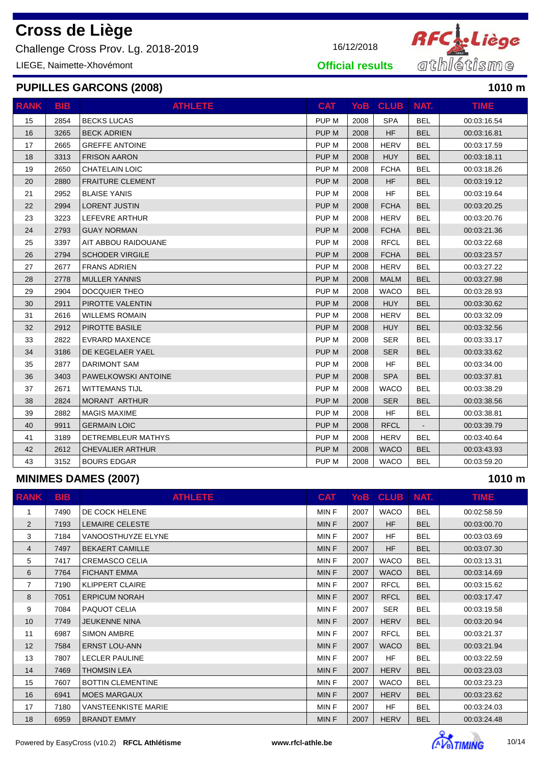Challenge Cross Prov. Lg. 2018-2019 16/12/2018

LIEGE, Naimette-Xhovémont

### **PUPILLES GARCONS (2008) 1010 m**

| <b>RANK</b> | <b>BIB</b> | <b>ATHLETE</b>            | <b>CAT</b>       | <b>YoB</b> | <b>CLUB</b> | NAT.           | <b>TIME</b> |
|-------------|------------|---------------------------|------------------|------------|-------------|----------------|-------------|
| 15          | 2854       | <b>BECKS LUCAS</b>        | PUP <sub>M</sub> | 2008       | <b>SPA</b>  | <b>BEL</b>     | 00:03:16.54 |
| 16          | 3265       | <b>BECK ADRIEN</b>        | PUP <sub>M</sub> | 2008       | <b>HF</b>   | <b>BEL</b>     | 00:03:16.81 |
| 17          | 2665       | <b>GREFFE ANTOINE</b>     | PUP M            | 2008       | <b>HERV</b> | <b>BEL</b>     | 00:03:17.59 |
| 18          | 3313       | <b>FRISON AARON</b>       | PUP M            | 2008       | <b>HUY</b>  | <b>BEL</b>     | 00:03:18.11 |
| 19          | 2650       | <b>CHATELAIN LOIC</b>     | PUP M            | 2008       | <b>FCHA</b> | <b>BEL</b>     | 00:03:18.26 |
| 20          | 2880       | <b>FRAITURE CLEMENT</b>   | PUP M            | 2008       | <b>HF</b>   | <b>BEL</b>     | 00:03:19.12 |
| 21          | 2952       | <b>BLAISE YANIS</b>       | PUP M            | 2008       | <b>HF</b>   | <b>BEL</b>     | 00:03:19.64 |
| 22          | 2994       | <b>LORENT JUSTIN</b>      | PUP <sub>M</sub> | 2008       | <b>FCHA</b> | <b>BEL</b>     | 00:03:20.25 |
| 23          | 3223       | LEFEVRE ARTHUR            | PUP M            | 2008       | <b>HERV</b> | <b>BEL</b>     | 00:03:20.76 |
| 24          | 2793       | <b>GUAY NORMAN</b>        | PUP M            | 2008       | <b>FCHA</b> | <b>BEL</b>     | 00:03:21.36 |
| 25          | 3397       | AIT ABBOU RAIDOUANE       | PUP M            | 2008       | <b>RFCL</b> | <b>BEL</b>     | 00:03:22.68 |
| 26          | 2794       | <b>SCHODER VIRGILE</b>    | PUP <sub>M</sub> | 2008       | <b>FCHA</b> | <b>BEL</b>     | 00:03:23.57 |
| 27          | 2677       | <b>FRANS ADRIEN</b>       | PUP M            | 2008       | <b>HERV</b> | <b>BEL</b>     | 00:03:27.22 |
| 28          | 2778       | <b>MULLER YANNIS</b>      | PUP <sub>M</sub> | 2008       | <b>MALM</b> | <b>BEL</b>     | 00:03:27.98 |
| 29          | 2904       | DOCQUIER THEO             | PUP M            | 2008       | <b>WACO</b> | <b>BEL</b>     | 00:03:28.93 |
| 30          | 2911       | PIROTTE VALENTIN          | PUP M            | 2008       | <b>HUY</b>  | <b>BEL</b>     | 00:03:30.62 |
| 31          | 2616       | <b>WILLEMS ROMAIN</b>     | PUP M            | 2008       | <b>HERV</b> | <b>BEL</b>     | 00:03:32.09 |
| 32          | 2912       | PIROTTE BASILE            | PUP <sub>M</sub> | 2008       | <b>HUY</b>  | <b>BEL</b>     | 00:03:32.56 |
| 33          | 2822       | <b>EVRARD MAXENCE</b>     | PUP M            | 2008       | <b>SER</b>  | <b>BEL</b>     | 00:03:33.17 |
| 34          | 3186       | DE KEGELAER YAEL          | PUP M            | 2008       | <b>SER</b>  | <b>BEL</b>     | 00:03:33.62 |
| 35          | 2877       | <b>DARIMONT SAM</b>       | PUP M            | 2008       | <b>HF</b>   | <b>BEL</b>     | 00:03:34.00 |
| 36          | 3403       | PAWELKOWSKI ANTOINE       | PUP <sub>M</sub> | 2008       | <b>SPA</b>  | <b>BEL</b>     | 00:03:37.81 |
| 37          | 2671       | <b>WITTEMANS TIJL</b>     | PUP <sub>M</sub> | 2008       | <b>WACO</b> | <b>BEL</b>     | 00:03:38.29 |
| 38          | 2824       | <b>MORANT ARTHUR</b>      | PUP M            | 2008       | <b>SER</b>  | <b>BEL</b>     | 00:03:38.56 |
| 39          | 2882       | <b>MAGIS MAXIME</b>       | PUP M            | 2008       | <b>HF</b>   | <b>BEL</b>     | 00:03:38.81 |
| 40          | 9911       | <b>GERMAIN LOIC</b>       | PUP M            | 2008       | <b>RFCL</b> | $\blacksquare$ | 00:03:39.79 |
| 41          | 3189       | <b>DETREMBLEUR MATHYS</b> | PUP M            | 2008       | <b>HERV</b> | <b>BEL</b>     | 00:03:40.64 |
| 42          | 2612       | <b>CHEVALIER ARTHUR</b>   | PUP <sub>M</sub> | 2008       | <b>WACO</b> | <b>BEL</b>     | 00:03:43.93 |
| 43          | 3152       | <b>BOURS EDGAR</b>        | PUP <sub>M</sub> | 2008       | <b>WACO</b> | <b>BEL</b>     | 00:03:59.20 |

### **MINIMES DAMES (2007) 1010 m**

| <b>RANK</b>    | <b>BIB</b> | <b>ATHLETE</b>             | <b>CAT</b>  |      | YoB CLUB    | NAT.       | TIME.       |
|----------------|------------|----------------------------|-------------|------|-------------|------------|-------------|
| 1              | 7490       | DE COCK HELENE             | MIN F       | 2007 | <b>WACO</b> | <b>BEL</b> | 00:02:58.59 |
| 2              | 7193       | <b>LEMAIRE CELESTE</b>     | MIN F       | 2007 | <b>HF</b>   | <b>BEL</b> | 00:03:00.70 |
| 3              | 7184       | VANOOSTHUYZE ELYNE         | MIN F       | 2007 | <b>HF</b>   | <b>BEL</b> | 00:03:03.69 |
| 4              | 7497       | <b>BEKAERT CAMILLE</b>     | <b>MINF</b> | 2007 | <b>HF</b>   | <b>BEL</b> | 00:03:07.30 |
| 5              | 7417       | <b>CREMASCO CELIA</b>      | MIN F       | 2007 | <b>WACO</b> | <b>BEL</b> | 00:03:13.31 |
| 6              | 7764       | <b>FICHANT EMMA</b>        | MIN F       | 2007 | <b>WACO</b> | <b>BEL</b> | 00:03:14.69 |
| $\overline{7}$ | 7190       | <b>KLIPPERT CLAIRE</b>     | MIN F       | 2007 | <b>RFCL</b> | <b>BEL</b> | 00:03:15.62 |
| 8              | 7051       | <b>ERPICUM NORAH</b>       | MIN F       | 2007 | <b>RFCL</b> | <b>BEL</b> | 00:03:17.47 |
| 9              | 7084       | PAQUOT CELIA               | MIN F       | 2007 | <b>SER</b>  | <b>BEL</b> | 00:03:19.58 |
| 10             | 7749       | <b>JEUKENNE NINA</b>       | MIN F       | 2007 | <b>HERV</b> | <b>BEL</b> | 00:03:20.94 |
| 11             | 6987       | <b>SIMON AMBRE</b>         | MIN F       | 2007 | <b>RFCL</b> | <b>BEL</b> | 00:03:21.37 |
| 12             | 7584       | <b>ERNST LOU-ANN</b>       | MIN F       | 2007 | <b>WACO</b> | <b>BEL</b> | 00:03:21.94 |
| 13             | 7807       | <b>LECLER PAULINE</b>      | MIN F       | 2007 | <b>HF</b>   | <b>BEL</b> | 00:03:22.59 |
| 14             | 7469       | <b>THOMSIN LEA</b>         | MIN F       | 2007 | <b>HERV</b> | <b>BEL</b> | 00:03:23.03 |
| 15             | 7607       | <b>BOTTIN CLEMENTINE</b>   | MIN F       | 2007 | <b>WACO</b> | <b>BEL</b> | 00:03:23.23 |
| 16             | 6941       | <b>MOES MARGAUX</b>        | MIN F       | 2007 | <b>HERV</b> | <b>BEL</b> | 00:03:23.62 |
| 17             | 7180       | <b>VANSTEENKISTE MARIE</b> | MIN F       | 2007 | <b>HF</b>   | <b>BEL</b> | 00:03:24.03 |
| 18             | 6959       | <b>BRANDT EMMY</b>         | MIN F       | 2007 | <b>HERV</b> | <b>BEL</b> | 00:03:24.48 |

Powered by EasyCross (v10.2) **RFCL Athlétisme and the state of the www.rfcl-athle.be** 10/14





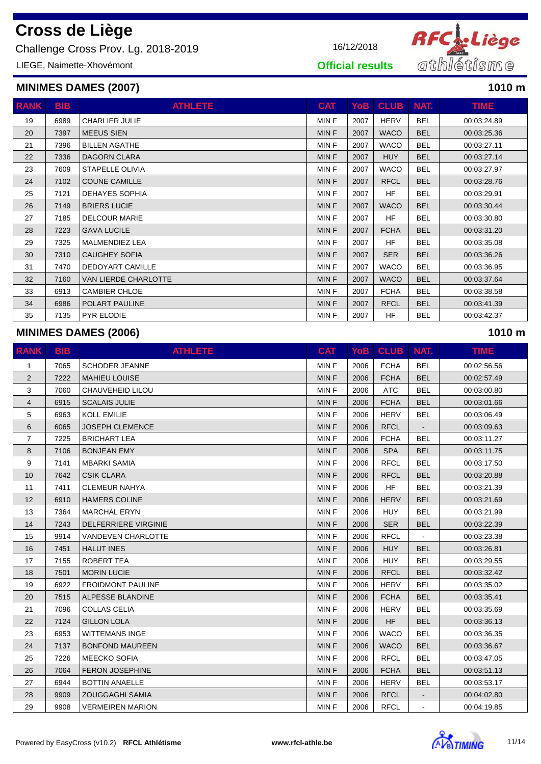Challenge Cross Prov. Lg. 2018-2019 16/12/2018

LIEGE, Naimette-Xhovémont

| <b>RANK</b> | <b>BIB</b> | <b>ATHLETE</b>              | <b>CAT</b>  | YoB l | <b>CLUB</b> | NAT.       | <b>TIME</b> |
|-------------|------------|-----------------------------|-------------|-------|-------------|------------|-------------|
| 19          | 6989       | <b>CHARLIER JULIE</b>       | <b>MINF</b> | 2007  | <b>HERV</b> | <b>BEL</b> | 00:03:24.89 |
| 20          | 7397       | <b>MEEUS SIEN</b>           | <b>MINF</b> | 2007  | <b>WACO</b> | <b>BEL</b> | 00:03:25.36 |
| 21          | 7396       | <b>BILLEN AGATHE</b>        | <b>MINF</b> | 2007  | <b>WACO</b> | <b>BEL</b> | 00:03:27.11 |
| 22          | 7336       | <b>DAGORN CLARA</b>         | <b>MINF</b> | 2007  | <b>HUY</b>  | <b>BEL</b> | 00:03:27.14 |
| 23          | 7609       | <b>STAPELLE OLIVIA</b>      | <b>MINF</b> | 2007  | <b>WACO</b> | <b>BEL</b> | 00:03:27.97 |
| 24          | 7102       | <b>COUNE CAMILLE</b>        | <b>MINF</b> | 2007  | <b>RFCL</b> | <b>BEL</b> | 00:03:28.76 |
| 25          | 7121       | <b>DEHAYES SOPHIA</b>       | <b>MINF</b> | 2007  | <b>HF</b>   | <b>BEL</b> | 00:03:29.91 |
| 26          | 7149       | <b>BRIERS LUCIE</b>         | <b>MINF</b> | 2007  | <b>WACO</b> | <b>BEL</b> | 00:03:30.44 |
| 27          | 7185       | <b>DELCOUR MARIE</b>        | <b>MINF</b> | 2007  | <b>HF</b>   | <b>BEL</b> | 00:03:30.80 |
| 28          | 7223       | <b>GAVA LUCILE</b>          | <b>MINF</b> | 2007  | <b>FCHA</b> | <b>BEL</b> | 00:03:31.20 |
| 29          | 7325       | <b>MALMENDIEZ LEA</b>       | <b>MINF</b> | 2007  | <b>HF</b>   | <b>BEL</b> | 00:03:35.08 |
| 30          | 7310       | <b>CAUGHEY SOFIA</b>        | <b>MINF</b> | 2007  | <b>SER</b>  | <b>BEL</b> | 00:03:36.26 |
| 31          | 7470       | <b>DEDOYART CAMILLE</b>     | MIN F       | 2007  | <b>WACO</b> | <b>BEL</b> | 00:03:36.95 |
| 32          | 7160       | <b>VAN LIERDE CHARLOTTE</b> | <b>MINF</b> | 2007  | <b>WACO</b> | <b>BEL</b> | 00:03:37.64 |
| 33          | 6913       | <b>CAMBIER CHLOE</b>        | MIN F       | 2007  | <b>FCHA</b> | <b>BEL</b> | 00:03:38.58 |
| 34          | 6986       | POLART PAULINE              | <b>MINF</b> | 2007  | <b>RFCL</b> | <b>BEL</b> | 00:03:41.39 |
| 35          | 7135       | PYR ELODIE                  | MIN F       | 2007  | <b>HF</b>   | <b>BEL</b> | 00:03:42.37 |

#### **MINIMES DAMES (2006) 1010 m**

| <b>RANK</b>    | <b>BIB</b> | <b>ATHLETE</b>            | <b>CAT</b>  | YoB  | <b>CLUB</b> | NAT.           | <b>TIME</b> |
|----------------|------------|---------------------------|-------------|------|-------------|----------------|-------------|
| $\mathbf{1}$   | 7065       | <b>SCHODER JEANNE</b>     | <b>MINF</b> | 2006 | <b>FCHA</b> | <b>BEL</b>     | 00:02:56.56 |
| 2              | 7222       | <b>MAHIEU LOUISE</b>      | <b>MINF</b> | 2006 | <b>FCHA</b> | <b>BEL</b>     | 00:02:57.49 |
| 3              | 7060       | <b>CHAUVEHEID LILOU</b>   | MIN F       | 2006 | <b>ATC</b>  | <b>BEL</b>     | 00:03:00.80 |
| 4              | 6915       | <b>SCALAIS JULIE</b>      | <b>MINF</b> | 2006 | <b>FCHA</b> | <b>BEL</b>     | 00:03:01.66 |
| 5              | 6963       | KOLL EMILIE               | MIN F       | 2006 | <b>HERV</b> | <b>BEL</b>     | 00:03:06.49 |
| 6              | 6065       | <b>JOSEPH CLEMENCE</b>    | <b>MINF</b> | 2006 | <b>RFCL</b> |                | 00:03:09.63 |
| $\overline{7}$ | 7225       | <b>BRICHART LEA</b>       | <b>MINF</b> | 2006 | <b>FCHA</b> | <b>BEL</b>     | 00:03:11.27 |
| 8              | 7106       | <b>BONJEAN EMY</b>        | <b>MINF</b> | 2006 | <b>SPA</b>  | <b>BEL</b>     | 00:03:11.75 |
| 9              | 7141       | <b>MBARKI SAMIA</b>       | <b>MINF</b> | 2006 | <b>RFCL</b> | <b>BEL</b>     | 00:03:17.50 |
| 10             | 7642       | <b>CSIK CLARA</b>         | <b>MINF</b> | 2006 | <b>RFCL</b> | <b>BEL</b>     | 00:03:20.88 |
| 11             | 7411       | <b>CLEMEUR NAHYA</b>      | MIN F       | 2006 | <b>HF</b>   | <b>BEL</b>     | 00:03:21.39 |
| 12             | 6910       | <b>HAMERS COLINE</b>      | <b>MINF</b> | 2006 | <b>HERV</b> | <b>BEL</b>     | 00:03:21.69 |
| 13             | 7364       | <b>MARCHAL ERYN</b>       | <b>MINF</b> | 2006 | <b>HUY</b>  | <b>BEL</b>     | 00:03:21.99 |
| 14             | 7243       | DELFERRIERE VIRGINIE      | <b>MINF</b> | 2006 | <b>SER</b>  | <b>BEL</b>     | 00:03:22.39 |
| 15             | 9914       | <b>VANDEVEN CHARLOTTE</b> | <b>MINF</b> | 2006 | <b>RFCL</b> |                | 00:03:23.38 |
| 16             | 7451       | <b>HALUT INES</b>         | MIN F       | 2006 | <b>HUY</b>  | <b>BEL</b>     | 00:03:26.81 |
| 17             | 7155       | ROBERT TEA                | <b>MINF</b> | 2006 | <b>HUY</b>  | <b>BEL</b>     | 00:03:29.55 |
| 18             | 7501       | <b>MORIN LUCIE</b>        | MIN F       | 2006 | <b>RFCL</b> | <b>BEL</b>     | 00:03:32.42 |
| 19             | 6922       | <b>FROIDMONT PAULINE</b>  | <b>MINF</b> | 2006 | <b>HERV</b> | <b>BEL</b>     | 00:03:35.02 |
| 20             | 7515       | ALPESSE BLANDINE          | MIN F       | 2006 | <b>FCHA</b> | <b>BEL</b>     | 00:03:35.41 |
| 21             | 7096       | <b>COLLAS CELIA</b>       | <b>MINF</b> | 2006 | <b>HERV</b> | <b>BEL</b>     | 00:03:35.69 |
| 22             | 7124       | <b>GILLON LOLA</b>        | MIN F       | 2006 | <b>HF</b>   | <b>BEL</b>     | 00:03:36.13 |
| 23             | 6953       | <b>WITTEMANS INGE</b>     | MIN F       | 2006 | <b>WACO</b> | <b>BEL</b>     | 00:03:36.35 |
| 24             | 7137       | <b>BONFOND MAUREEN</b>    | <b>MINF</b> | 2006 | <b>WACO</b> | <b>BEL</b>     | 00:03:36.67 |
| 25             | 7226       | <b>MEECKO SOFIA</b>       | MIN F       | 2006 | <b>RFCL</b> | <b>BEL</b>     | 00:03:47.05 |
| 26             | 7064       | <b>FERON JOSEPHINE</b>    | <b>MINF</b> | 2006 | <b>FCHA</b> | <b>BEL</b>     | 00:03:51.13 |
| 27             | 6944       | <b>BOTTIN ANAELLE</b>     | MIN F       | 2006 | <b>HERV</b> | <b>BEL</b>     | 00:03:53.17 |
| 28             | 9909       | <b>ZOUGGAGHI SAMIA</b>    | MIN F       | 2006 | <b>RFCL</b> |                | 00:04:02.80 |
| 29             | 9908       | <b>VERMEIREN MARION</b>   | MIN F       | 2006 | <b>RFCL</b> | $\blacksquare$ | 00:04:19.85 |





**Official results**

**MINIMES DAMES (2007) 1010 m**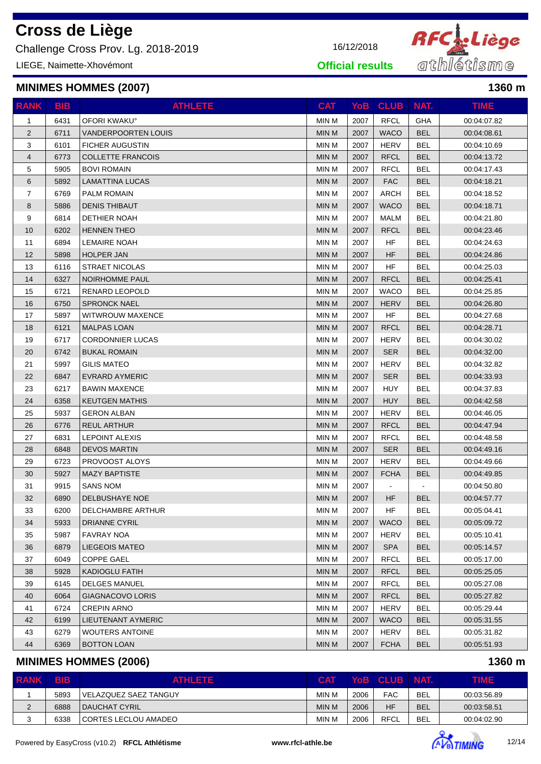Challenge Cross Prov. Lg. 2018-2019 16/12/2018

LIEGE, Naimette-Xhovémont

#### **MINIMES HOMMES (2007) 1360 m**

| <b>RANK</b>    | <b>BIB</b> | <b>ATHLETE</b>           | <b>CAT</b>   |      | YoB CLUB    | NAT.       | <b>TIME</b> |
|----------------|------------|--------------------------|--------------|------|-------------|------------|-------------|
| $\mathbf{1}$   | 6431       | OFORI KWAKU°             | MIN M        | 2007 | <b>RFCL</b> | GHA        | 00:04:07.82 |
| $\overline{2}$ | 6711       | VANDERPOORTEN LOUIS      | <b>MIN M</b> | 2007 | <b>WACO</b> | <b>BEL</b> | 00:04:08.61 |
| 3              | 6101       | <b>FICHER AUGUSTIN</b>   | MIN M        | 2007 | <b>HERV</b> | <b>BEL</b> | 00:04:10.69 |
| $\overline{4}$ | 6773       | <b>COLLETTE FRANCOIS</b> | <b>MIN M</b> | 2007 | <b>RFCL</b> | <b>BEL</b> | 00:04:13.72 |
| 5              | 5905       | <b>BOVI ROMAIN</b>       | MIN M        | 2007 | <b>RFCL</b> | <b>BEL</b> | 00:04:17.43 |
| $\,6$          | 5892       | <b>LAMATTINA LUCAS</b>   | <b>MIN M</b> | 2007 | <b>FAC</b>  | <b>BEL</b> | 00:04:18.21 |
| $\overline{7}$ | 6769       | <b>PALM ROMAIN</b>       | <b>MIN M</b> | 2007 | <b>ARCH</b> | <b>BEL</b> | 00:04:18.52 |
| 8              | 5886       | <b>DENIS THIBAUT</b>     | <b>MIN M</b> | 2007 | <b>WACO</b> | <b>BEL</b> | 00:04:18.71 |
| 9              | 6814       | <b>DETHIER NOAH</b>      | MIN M        | 2007 | <b>MALM</b> | <b>BEL</b> | 00:04:21.80 |
| 10             | 6202       | <b>HENNEN THEO</b>       | <b>MIN M</b> | 2007 | <b>RFCL</b> | <b>BEL</b> | 00:04:23.46 |
| 11             | 6894       | <b>LEMAIRE NOAH</b>      | <b>MIN M</b> | 2007 | HF          | <b>BEL</b> | 00:04:24.63 |
| 12             | 5898       | <b>HOLPER JAN</b>        | <b>MIN M</b> | 2007 | HF          | <b>BEL</b> | 00:04:24.86 |
| 13             | 6116       | <b>STRAET NICOLAS</b>    | MIN M        | 2007 | <b>HF</b>   | <b>BEL</b> | 00:04:25.03 |
| 14             | 6327       | <b>NOIRHOMME PAUL</b>    | <b>MIN M</b> | 2007 | <b>RFCL</b> | <b>BEL</b> | 00:04:25.41 |
| 15             | 6721       | RENARD LEOPOLD           | <b>MIN M</b> | 2007 | WACO        | <b>BEL</b> | 00:04:25.85 |
| 16             | 6750       | <b>SPRONCK NAEL</b>      | <b>MIN M</b> | 2007 | <b>HERV</b> | <b>BEL</b> | 00:04:26.80 |
| 17             | 5897       | <b>WITWROUW MAXENCE</b>  | MIN M        | 2007 | <b>HF</b>   | <b>BEL</b> | 00:04:27.68 |
| 18             | 6121       | <b>MALPAS LOAN</b>       | <b>MIN M</b> | 2007 | <b>RFCL</b> | <b>BEL</b> | 00:04:28.71 |
| 19             | 6717       | <b>CORDONNIER LUCAS</b>  | MIN M        | 2007 | <b>HERV</b> | <b>BEL</b> | 00:04:30.02 |
| 20             | 6742       | <b>BUKAL ROMAIN</b>      | <b>MIN M</b> | 2007 | <b>SER</b>  | <b>BEL</b> | 00:04:32.00 |
| 21             | 5997       | <b>GILIS MATEO</b>       | <b>MIN M</b> | 2007 | <b>HERV</b> | <b>BEL</b> | 00:04:32.82 |
| 22             | 6847       | <b>EVRARD AYMERIC</b>    | <b>MIN M</b> | 2007 | <b>SER</b>  | <b>BEL</b> | 00:04:33.93 |
| 23             | 6217       | <b>BAWIN MAXENCE</b>     | MIN M        | 2007 | <b>HUY</b>  | <b>BEL</b> | 00:04:37.83 |
| 24             | 6358       | <b>KEUTGEN MATHIS</b>    | <b>MIN M</b> | 2007 | <b>HUY</b>  | <b>BEL</b> | 00:04:42.58 |
| 25             | 5937       | <b>GERON ALBAN</b>       | MIN M        | 2007 | <b>HERV</b> | <b>BEL</b> | 00:04:46.05 |
| 26             | 6776       | <b>REUL ARTHUR</b>       | <b>MIN M</b> | 2007 | <b>RFCL</b> | <b>BEL</b> | 00:04:47.94 |
| 27             | 6831       | <b>LEPOINT ALEXIS</b>    | MIN M        | 2007 | <b>RFCL</b> | <b>BEL</b> | 00:04:48.58 |
| 28             | 6848       | <b>DEVOS MARTIN</b>      | <b>MIN M</b> | 2007 | <b>SER</b>  | <b>BEL</b> | 00:04:49.16 |
| 29             | 6723       | PROVOOST ALOYS           | MIN M        | 2007 | <b>HERV</b> | <b>BEL</b> | 00:04:49.66 |
| 30             | 5927       | <b>MAZY BAPTISTE</b>     | <b>MIN M</b> | 2007 | <b>FCHA</b> | <b>BEL</b> | 00:04:49.85 |
| 31             | 9915       | <b>SANS NOM</b>          | MIN M        | 2007 |             |            | 00:04:50.80 |
| 32             | 6890       | DELBUSHAYE NOE           | <b>MIN M</b> | 2007 | HF          | <b>BEL</b> | 00:04:57.77 |
| 33             | 6200       | DELCHAMBRE ARTHUR        | MIN M        | 2007 | <b>HF</b>   | <b>BEL</b> | 00:05:04.41 |
| 34             | 5933       | <b>DRIANNE CYRIL</b>     | <b>MIN M</b> | 2007 | <b>WACO</b> | <b>BEL</b> | 00:05:09.72 |
| 35             | 5987       | <b>FAVRAY NOA</b>        | MIN M        | 2007 | HERV        | <b>BEL</b> | 00:05:10.41 |
| 36             | 6879       | <b>LIEGEOIS MATEO</b>    | <b>MIN M</b> | 2007 | <b>SPA</b>  | <b>BEL</b> | 00:05:14.57 |
| 37             | 6049       | <b>COPPE GAEL</b>        | MIN M        | 2007 | <b>RFCL</b> | <b>BEL</b> | 00:05:17.00 |
| 38             | 5928       | KADIOGLU FATIH           | <b>MIN M</b> | 2007 | <b>RFCL</b> | <b>BEL</b> | 00:05:25.05 |
| 39             | 6145       | DELGES MANUEL            | MIN M        | 2007 | <b>RFCL</b> | <b>BEL</b> | 00:05:27.08 |
| 40             | 6064       | GIAGNACOVO LORIS         | <b>MIN M</b> | 2007 | <b>RFCL</b> | <b>BEL</b> | 00:05:27.82 |
| 41             | 6724       | <b>CREPIN ARNO</b>       | MIN M        | 2007 | <b>HERV</b> | <b>BEL</b> | 00:05:29.44 |
| 42             | 6199       | LIEUTENANT AYMERIC       | <b>MIN M</b> | 2007 | <b>WACO</b> | <b>BEL</b> | 00:05:31.55 |
| 43             | 6279       | <b>WOUTERS ANTOINE</b>   | MIN M        | 2007 | <b>HERV</b> | <b>BEL</b> | 00:05:31.82 |
| 44             | 6369       | <b>BOTTON LOAN</b>       | MIN M        | 2007 | <b>FCHA</b> | <b>BEL</b> | 00:05:51.93 |

### **MINIMES HOMMES (2006) 1360 m**

| <b>RANK</b> | <b>BIB</b> | <b>ATHLETE</b>        | <b>CAT</b>   |      | YoB CLUB NAT. |            | TIME        |
|-------------|------------|-----------------------|--------------|------|---------------|------------|-------------|
|             | 5893       | VELAZQUEZ SAEZ TANGUY | MIN M        | 2006 | <b>FAC</b>    | <b>BEL</b> | 00:03:56.89 |
| $\Omega$    | 6888       | <b>DAUCHAT CYRIL</b>  | <b>MIN M</b> | 2006 | HF            | <b>BEL</b> | 00:03:58.51 |
|             | 6338       | CORTES LECLOU AMADEO  | MIN M        | 2006 | <b>RFCL</b>   | <b>BEL</b> | 00:04:02.90 |



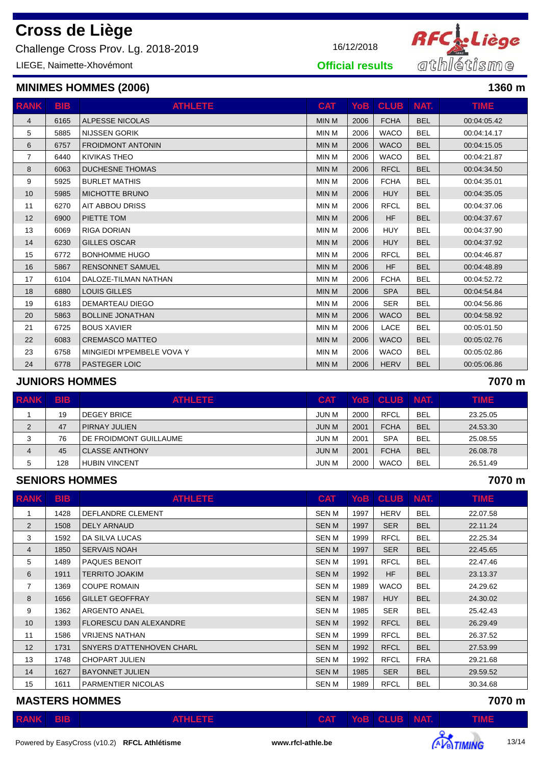Challenge Cross Prov. Lg. 2018-2019 16/12/2018

LIEGE, Naimette-Xhovémont

#### **MINIMES HOMMES (2006) 1360 m**

| <b>RANK</b>    | <b>BIB</b> | <b>ATHLETE</b>            | <b>CAT</b>   | YoB  | <b>CLUB NAT.</b> |            | <b>TIME</b> |
|----------------|------------|---------------------------|--------------|------|------------------|------------|-------------|
| $\overline{4}$ | 6165       | <b>ALPESSE NICOLAS</b>    | <b>MIN M</b> | 2006 | <b>FCHA</b>      | <b>BEL</b> | 00:04:05.42 |
| 5              | 5885       | <b>NIJSSEN GORIK</b>      | <b>MIN M</b> | 2006 | <b>WACO</b>      | <b>BEL</b> | 00:04:14.17 |
| 6              | 6757       | <b>FROIDMONT ANTONIN</b>  | <b>MIN M</b> | 2006 | <b>WACO</b>      | <b>BEL</b> | 00:04:15.05 |
| $\overline{7}$ | 6440       | <b>KIVIKAS THEO</b>       | <b>MIN M</b> | 2006 | <b>WACO</b>      | <b>BEL</b> | 00:04:21.87 |
| 8              | 6063       | <b>DUCHESNE THOMAS</b>    | <b>MIN M</b> | 2006 | <b>RFCL</b>      | <b>BEL</b> | 00:04:34.50 |
| 9              | 5925       | <b>BURLET MATHIS</b>      | <b>MIN M</b> | 2006 | <b>FCHA</b>      | <b>BEL</b> | 00:04:35.01 |
| 10             | 5985       | <b>MICHOTTE BRUNO</b>     | <b>MIN M</b> | 2006 | <b>HUY</b>       | <b>BEL</b> | 00:04:35.05 |
| 11             | 6270       | AIT ABBOU DRISS           | <b>MIN M</b> | 2006 | <b>RFCL</b>      | <b>BEL</b> | 00:04:37.06 |
| 12             | 6900       | PIETTE TOM                | <b>MIN M</b> | 2006 | <b>HF</b>        | <b>BEL</b> | 00:04:37.67 |
| 13             | 6069       | <b>RIGA DORIAN</b>        | <b>MIN M</b> | 2006 | <b>HUY</b>       | <b>BEL</b> | 00:04:37.90 |
| 14             | 6230       | <b>GILLES OSCAR</b>       | <b>MIN M</b> | 2006 | <b>HUY</b>       | <b>BEL</b> | 00:04:37.92 |
| 15             | 6772       | <b>BONHOMME HUGO</b>      | <b>MIN M</b> | 2006 | <b>RFCL</b>      | <b>BEL</b> | 00:04:46.87 |
| 16             | 5867       | <b>RENSONNET SAMUEL</b>   | <b>MIN M</b> | 2006 | <b>HF</b>        | <b>BEL</b> | 00:04:48.89 |
| 17             | 6104       | DALOZE-TILMAN NATHAN      | <b>MIN M</b> | 2006 | <b>FCHA</b>      | <b>BEL</b> | 00:04:52.72 |
| 18             | 6880       | <b>LOUIS GILLES</b>       | <b>MIN M</b> | 2006 | <b>SPA</b>       | <b>BEL</b> | 00:04:54.84 |
| 19             | 6183       | DEMARTEAU DIEGO           | <b>MIN M</b> | 2006 | <b>SER</b>       | <b>BEL</b> | 00:04:56.86 |
| 20             | 5863       | <b>BOLLINE JONATHAN</b>   | <b>MIN M</b> | 2006 | <b>WACO</b>      | <b>BEL</b> | 00:04:58.92 |
| 21             | 6725       | <b>BOUS XAVIER</b>        | <b>MIN M</b> | 2006 | LACE             | <b>BEL</b> | 00:05:01.50 |
| 22             | 6083       | <b>CREMASCO MATTEO</b>    | <b>MIN M</b> | 2006 | <b>WACO</b>      | <b>BEL</b> | 00:05:02.76 |
| 23             | 6758       | MINGIEDI M'PEMBELE VOVA Y | <b>MIN M</b> | 2006 | <b>WACO</b>      | <b>BEL</b> | 00:05:02.86 |
| 24             | 6778       | <b>PASTEGER LOIC</b>      | <b>MIN M</b> | 2006 | <b>HERV</b>      | <b>BEL</b> | 00:05:06.86 |

#### **JUNIORS HOMMES 7070 m**

| <b>RANK</b>    | <b>BIB</b> | <b>ATHLETE</b>         | <b>CAT</b> |      | YoB CLUB    | <b>TINAT.</b> | <b>TIME</b> |
|----------------|------------|------------------------|------------|------|-------------|---------------|-------------|
|                | 19         | <b>DEGEY BRICE</b>     | JUN M      | 2000 | <b>RFCL</b> | <b>BEL</b>    | 23.25.05    |
| $\overline{2}$ | 47         | PIRNAY JULIEN          | JUN M      | 2001 | <b>FCHA</b> | <b>BEL</b>    | 24.53.30    |
| 3              | 76         | DE FROIDMONT GUILLAUME | JUN M      | 2001 | <b>SPA</b>  | <b>BEL</b>    | 25.08.55    |
| 4              | 45         | <b>CLASSE ANTHONY</b>  | JUN M      | 2001 | <b>FCHA</b> | <b>BEL</b>    | 26.08.78    |
| 5              | 128        | <b>HUBIN VINCENT</b>   | JUN M      | 2000 | <b>WACO</b> | <b>BEL</b>    | 26.51.49    |

#### **SENIORS HOMMES 7070 m**

| <b>RANK</b>    | <b>BIB</b> | <b>ATHLETE</b>                | <b>CAT</b>   |      | YoB CLUB    | NAT.       | TIME.    |
|----------------|------------|-------------------------------|--------------|------|-------------|------------|----------|
|                | 1428       | DEFLANDRE CLEMENT             | SEN M        | 1997 | <b>HERV</b> | <b>BEL</b> | 22.07.58 |
| 2              | 1508       | DELY ARNAUD                   | <b>SEN M</b> | 1997 | <b>SER</b>  | <b>BEL</b> | 22.11.24 |
| 3              | 1592       | DA SILVA LUCAS                | SEN M        | 1999 | <b>RFCL</b> | <b>BEL</b> | 22.25.34 |
| 4              | 1850       | <b>SERVAIS NOAH</b>           | <b>SENM</b>  | 1997 | <b>SER</b>  | <b>BEL</b> | 22.45.65 |
| 5              | 1489       | <b>PAQUES BENOIT</b>          | SEN M        | 1991 | <b>RFCL</b> | <b>BEL</b> | 22.47.46 |
| 6              | 1911       | <b>TERRITO JOAKIM</b>         | <b>SENM</b>  | 1992 | <b>HF</b>   | <b>BEL</b> | 23.13.37 |
| $\overline{7}$ | 1369       | <b>COUPE ROMAIN</b>           | SEN M        | 1989 | <b>WACO</b> | <b>BEL</b> | 24.29.62 |
| 8              | 1656       | <b>GILLET GEOFFRAY</b>        | <b>SENM</b>  | 1987 | <b>HUY</b>  | <b>BEL</b> | 24.30.02 |
| 9              | 1362       | <b>ARGENTO ANAEL</b>          | SEN M        | 1985 | <b>SER</b>  | <b>BEL</b> | 25.42.43 |
| 10             | 1393       | <b>FLORESCU DAN ALEXANDRE</b> | <b>SEN M</b> | 1992 | <b>RFCL</b> | <b>BEL</b> | 26.29.49 |
| 11             | 1586       | <b>VRIJENS NATHAN</b>         | SEN M        | 1999 | <b>RFCL</b> | <b>BEL</b> | 26.37.52 |
| 12             | 1731       | SNYERS D'ATTENHOVEN CHARL     | <b>SENM</b>  | 1992 | <b>RFCL</b> | <b>BEL</b> | 27.53.99 |
| 13             | 1748       | <b>CHOPART JULIEN</b>         | SEN M        | 1992 | <b>RFCL</b> | <b>FRA</b> | 29.21.68 |
| 14             | 1627       | <b>BAYONNET JULIEN</b>        | <b>SENM</b>  | 1985 | <b>SER</b>  | <b>BEL</b> | 29.59.52 |
| 15             | 1611       | <b>PARMENTIER NICOLAS</b>     | SEN M        | 1989 | <b>RFCL</b> | <b>BEL</b> | 30.34.68 |

**MASTERS HOMMES 7070 m**

| <b>RANK BIB</b><br>$YoB$ $CLUB$ $NAT$ .<br>$-$ CAT<br>ATHLETE |  |
|---------------------------------------------------------------|--|



# **RFC<sub>A</sub>:Liège**<br>athlétisme